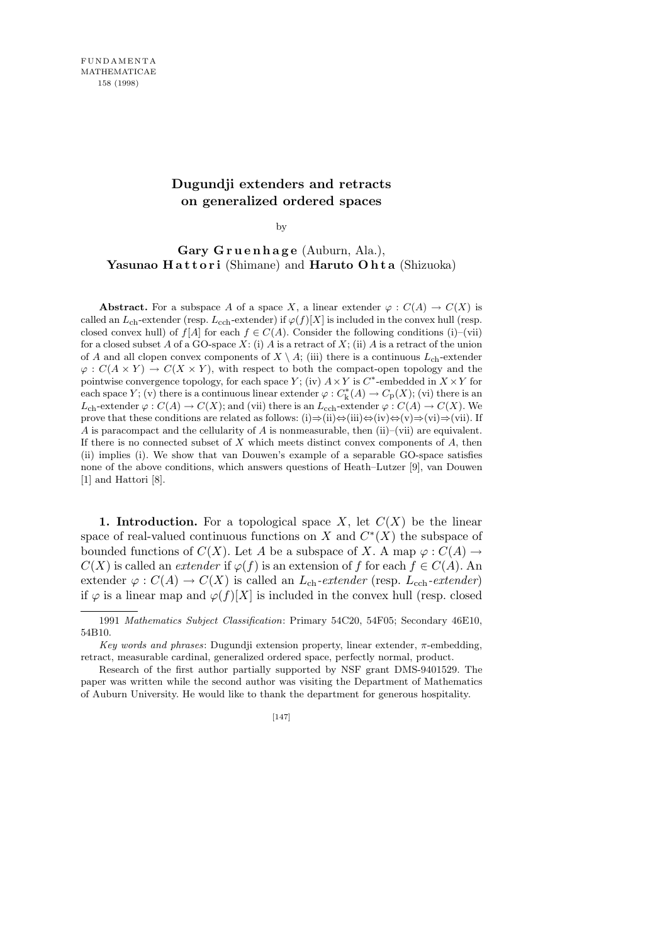## **Dugundji extenders and retracts on generalized ordered spaces**

by

## **Gary G r u e n h a g e** (Auburn, Ala.), Yasunao **Hattori** (Shimane) and **Haruto Ohta** (Shizuoka)

**Abstract.** For a subspace *A* of a space *X*, a linear extender  $\varphi$  :  $C(A) \to C(X)$  is called an  $L_{ch}$ -extender (resp.  $L_{ech}$ -extender) if  $\varphi(f)[X]$  is included in the convex hull (resp. closed convex hull) of  $f[A]$  for each  $f \in C(A)$ . Consider the following conditions (i)–(vii) for a closed subset  $A$  of a GO-space  $X$ : (i)  $A$  is a retract of  $X$ ; (ii)  $A$  is a retract of the union of *A* and all clopen convex components of  $X \setminus A$ ; (iii) there is a continuous  $L_{ch}$ -extender  $\varphi: C(A \times Y) \to C(X \times Y)$ , with respect to both the compact-open topology and the pointwise convergence topology, for each space *Y*; (iv)  $A \times Y$  is  $C^*$ -embedded in  $X \times Y$  for each space *Y*; (v) there is a continuous linear extender  $\varphi$  :  $C_k^*(A) \to C_p(X)$ ; (vi) there is an *L*<sub>ch</sub>-extender  $\varphi$  :  $C(A) \to C(X)$ ; and (vii) there is an *L*<sub>cch</sub>-extender  $\varphi$  :  $C(A) \to C(X)$ . We prove that these conditions are related as follows: (i)*⇒*(ii)*⇔*(iii)*⇔*(iv)*⇔*(v)*⇒*(vi)*⇒*(vii). If *A* is paracompact and the cellularity of *A* is nonmeasurable, then (ii)–(vii) are equivalent. If there is no connected subset of *X* which meets distinct convex components of *A*, then (ii) implies (i). We show that van Douwen's example of a separable GO-space satisfies none of the above conditions, which answers questions of Heath–Lutzer [9], van Douwen [1] and Hattori [8].

**1. Introduction.** For a topological space *X*, let  $C(X)$  be the linear space of real-valued continuous functions on *X* and  $C^*(X)$  the subspace of bounded functions of  $C(X)$ . Let *A* be a subspace of *X*. A map  $\varphi : C(A) \rightarrow$  $C(X)$  is called an *extender* if  $\varphi(f)$  is an extension of *f* for each  $f \in C(A)$ . An extender  $\varphi : C(A) \to C(X)$  is called an *L*<sub>ch</sub>-extender (resp. *L*<sub>cch</sub>-extender) if  $\varphi$  is a linear map and  $\varphi(f)[X]$  is included in the convex hull (resp. closed

<sup>1991</sup> *Mathematics Subject Classification*: Primary 54C20, 54F05; Secondary 46E10, 54B10.

*Key words and phrases*: Dugundji extension property, linear extender, *π*-embedding, retract, measurable cardinal, generalized ordered space, perfectly normal, product.

Research of the first author partially supported by NSF grant DMS-9401529. The paper was written while the second author was visiting the Department of Mathematics of Auburn University. He would like to thank the department for generous hospitality.

<sup>[147]</sup>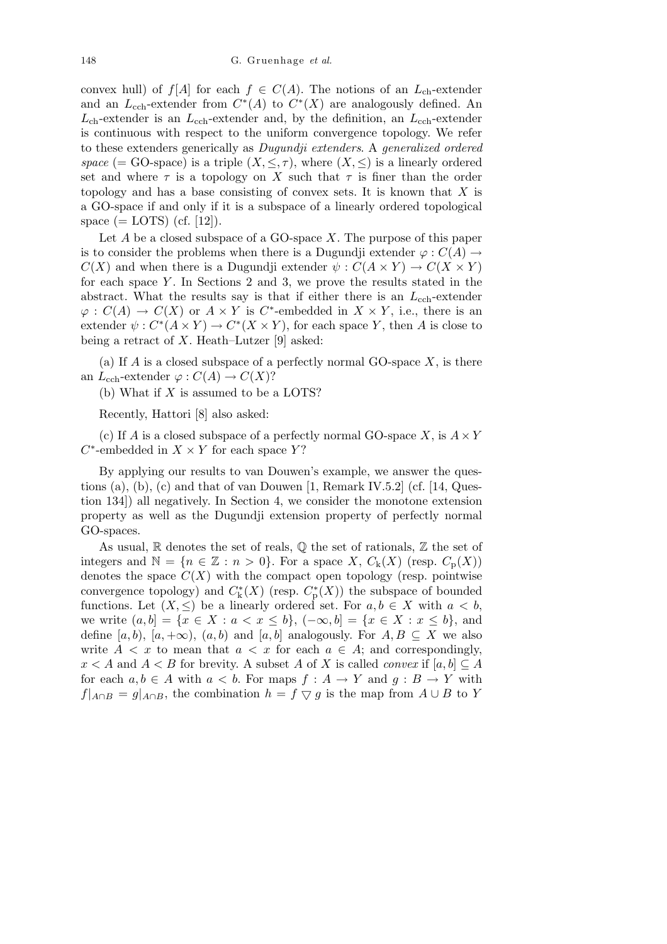convex hull) of *f*[*A*] for each  $f \in C(A)$ . The notions of an  $L_{ch}$ -extender and an  $L_{\text{cch}}$ -extender from  $C^*(A)$  to  $C^*(X)$  are analogously defined. An  $L_{ch}$ -extender is an  $L_{ch}$ -extender and, by the definition, an  $L_{ch}$ -extender is continuous with respect to the uniform convergence topology. We refer to these extenders generically as *Dugundji extenders*. A *generalized ordered space* (= GO-space) is a triple  $(X, \leq, \tau)$ , where  $(X, \leq)$  is a linearly ordered set and where  $\tau$  is a topology on *X* such that  $\tau$  is finer than the order topology and has a base consisting of convex sets. It is known that *X* is a GO-space if and only if it is a subspace of a linearly ordered topological space  $(=$  LOTS) (cf. [12]).

Let *A* be a closed subspace of a GO-space *X*. The purpose of this paper is to consider the problems when there is a Dugundji extender  $\varphi : C(A) \rightarrow$  $C(X)$  and when there is a Dugundji extender  $\psi : C(A \times Y) \to C(X \times Y)$ for each space *Y* . In Sections 2 and 3, we prove the results stated in the abstract. What the results say is that if either there is an  $L_{\rm coh}$ -extender  $\varphi$  :  $C(A) \to C(X)$  or  $A \times Y$  is  $C^*$ -embedded in  $X \times Y$ , i.e., there is an extender  $\psi: C^*(A \times Y) \to C^*(X \times Y)$ , for each space *Y*, then *A* is close to being a retract of *X*. Heath–Lutzer [9] asked:

(a) If *A* is a closed subspace of a perfectly normal GO-space *X*, is there an  $L_{\text{cch}}$ -extender  $\varphi$  :  $C(A) \to C(X)$ ?

(b) What if *X* is assumed to be a LOTS?

Recently, Hattori [8] also asked:

(c) If *A* is a closed subspace of a perfectly normal GO-space *X*, is  $A \times Y$  $C^*$ -embedded in  $X \times Y$  for each space *Y*?

By applying our results to van Douwen's example, we answer the questions (a), (b), (c) and that of van Douwen  $[1,$  Remark IV.5.2 (cf.  $[14,$  Question 134]) all negatively. In Section 4, we consider the monotone extension property as well as the Dugundji extension property of perfectly normal GO-spaces.

As usual,  $\mathbb R$  denotes the set of reals,  $\mathbb Q$  the set of rationals,  $\mathbb Z$  the set of integers and  $\mathbb{N} = \{n \in \mathbb{Z} : n > 0\}$ . For a space *X*,  $C_k(X)$  (resp.  $C_p(X)$ ) denotes the space  $C(X)$  with the compact open topology (resp. pointwise convergence topology) and  $C^*_{k}(X)$  (resp.  $C^*_{p}(X)$ ) the subspace of bounded functions. Let  $(X, \leq)$  be a linearly ordered set. For  $a, b \in X$  with  $a < b$ , we write  $(a, b] = \{x \in X : a < x \le b\}, \, (-\infty, b] = \{x \in X : x \le b\},\,$  and define  $[a, b)$ ,  $[a, +\infty)$ ,  $(a, b)$  and  $[a, b]$  analogously. For  $A, B \subseteq X$  we also write  $A < x$  to mean that  $a < x$  for each  $a \in A$ ; and correspondingly,  $x < A$  and  $A < B$  for brevity. A subset A of X is called *convex* if  $[a, b] \subseteq A$ for each  $a, b \in A$  with  $a < b$ . For maps  $f : A \rightarrow Y$  and  $g : B \rightarrow Y$  with  $f|_{A \cap B} = g|_{A \cap B}$ , the combination  $h = f \nabla g$  is the map from  $A \cup B$  to *Y*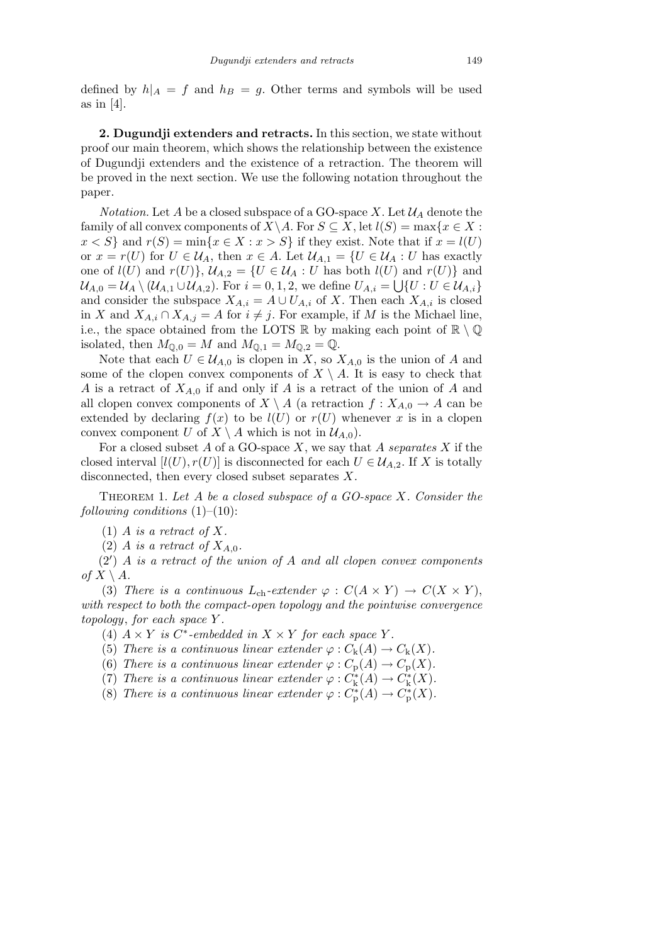defined by  $h|_A = f$  and  $h|_B = g$ . Other terms and symbols will be used as in [4].

**2. Dugundji extenders and retracts.** In this section, we state without proof our main theorem, which shows the relationship between the existence of Dugundji extenders and the existence of a retraction. The theorem will be proved in the next section. We use the following notation throughout the paper.

*Notation.* Let *A* be a closed subspace of a GO-space *X*. Let  $\mathcal{U}_A$  denote the family of all convex components of  $X \setminus A$ . For  $S \subseteq X$ , let  $l(S) = \max\{x \in X :$  $x < S$ } and  $r(S) = \min\{x \in X : x > S\}$  if they exist. Note that if  $x = l(U)$ or  $x = r(U)$  for  $U \in \mathcal{U}_A$ , then  $x \in A$ . Let  $\mathcal{U}_{A,1} = \{U \in \mathcal{U}_A : U \text{ has exactly } 0 \}$ one of  $l(U)$  and  $r(U)$ *}*,  $U_{A,2} = \{U \in \mathcal{U}_A : U \text{ has both } l(U) \text{ and } r(U) \}$  and  $\mathcal{U}_{A,0} = \mathcal{U}_A \setminus (\mathcal{U}_{A,1} \cup \mathcal{U}_{A,2})$ . For  $i = 0, 1, 2$ , we define  $U_{A,i} = \bigcup \{ U : U \in \mathcal{U}_{A,i} \}$ and consider the subspace  $X_{A,i} = A \cup U_{A,i}$  of *X*. Then each  $X_{A,i}$  is closed in *X* and  $X_{A,i} ∩ X_{A,j} = A$  for  $i ≠ j$ . For example, if *M* is the Michael line, i.e., the space obtained from the LOTS  $\mathbb R$  by making each point of  $\mathbb R \setminus \mathbb Q$ isolated, then  $M_{\mathbb{Q},0} = M$  and  $M_{\mathbb{Q},1} = M_{\mathbb{Q},2} = \mathbb{Q}$ .

Note that each  $U \in \mathcal{U}_{A,0}$  is clopen in *X*, so  $X_{A,0}$  is the union of *A* and some of the clopen convex components of  $X \setminus A$ . It is easy to check that *A* is a retract of *XA,*<sup>0</sup> if and only if *A* is a retract of the union of *A* and all clopen convex components of  $X \setminus A$  (a retraction  $f : X_{A,0} \to A$  can be extended by declaring  $f(x)$  to be  $l(U)$  or  $r(U)$  whenever x is in a clopen convex component *U* of  $X \setminus A$  which is not in  $\mathcal{U}_{A,0}$ .

For a closed subset *A* of a GO-space *X*, we say that *A separates X* if the closed interval  $[l(U), r(U)]$  is disconnected for each  $U \in \mathcal{U}_{A,2}$ . If X is totally disconnected, then every closed subset separates *X*.

Theorem 1. *Let A be a closed subspace of a GO-space X. Consider the following conditions* (1)–(10):

 $(1)$  *A is a retract of X.* 

(2) *A is a retract of*  $X_{A,0}$ *.* 

(2*0* ) *A is a retract of the union of A and all clopen convex components of*  $X \setminus A$ *.* 

(3) *There is a continuous*  $L_{ch}$ -extender  $\varphi : C(A \times Y) \to C(X \times Y)$ , *with respect to both the compact-open topology and the pointwise convergence topology*, *for each space Y .*

(4)  $A \times Y$  *is*  $C^*$ -embedded in  $X \times Y$  for each space Y.

(5) *There is a continuous linear extender*  $\varphi$  :  $C_{k}(A) \rightarrow C_{k}(X)$ .

- (6) *There is a continuous linear extender*  $\varphi$  :  $C_p(A) \to C_p(X)$ .
- (7) *There is a continuous linear extender*  $\varphi : C^*_k(A) \to C^*_k(X)$ .
- (8) *There is a continuous linear extender*  $\varphi : C^*_{\mathbf{p}}(A) \to C^*_{\mathbf{p}}(X)$ .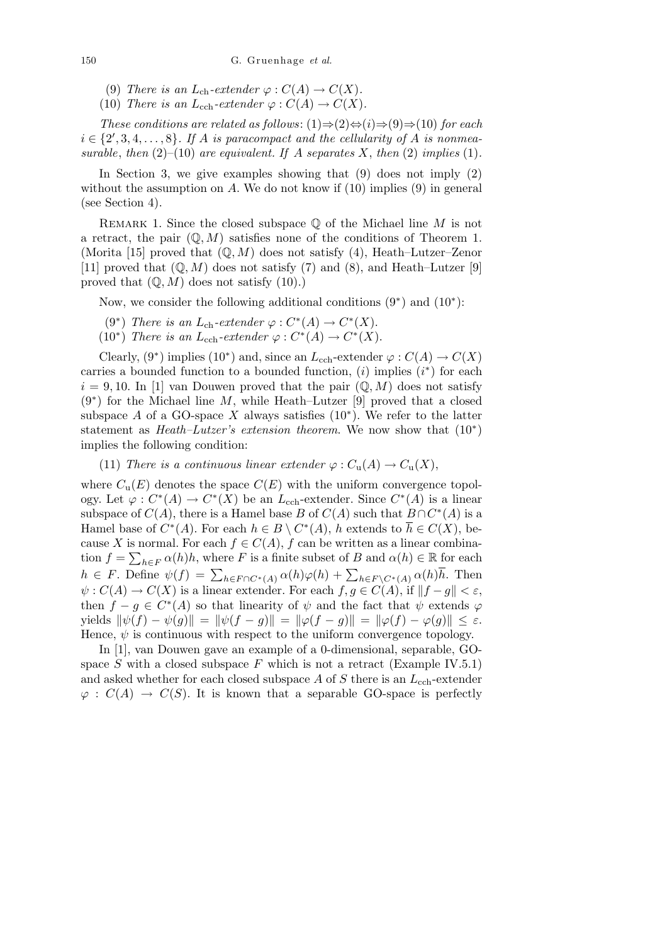- (9) *There is an*  $L_{ch}$ -extender  $\varphi$  :  $C(A) \to C(X)$ .
- (10) *There is an*  $L_{\text{cch}}$ -extender  $\varphi$  :  $C(A) \to C(X)$ .

*These conditions are related as follows*: (1)*⇒*(2)*⇔*(*i*)*⇒*(9)*⇒*(10) *for each*  $i \in \{2, 3, 4, \ldots, 8\}$ . If *A is paracompact and the cellularity of <i>A is nonmeasurable, then*  $(2)$ – $(10)$  *are equivalent. If A separates X, then*  $(2)$  *implies*  $(1)$ *.* 

In Section 3, we give examples showing that  $(9)$  does not imply  $(2)$ without the assumption on  $A$ . We do not know if  $(10)$  implies  $(9)$  in general (see Section 4).

Remark 1. Since the closed subspace Q of the Michael line *M* is not a retract, the pair  $(\mathbb{Q}, M)$  satisfies none of the conditions of Theorem 1. (Morita [15] proved that (Q*, M*) does not satisfy (4), Heath–Lutzer–Zenor [11] proved that  $(\mathbb{Q}, M)$  does not satisfy (7) and (8), and Heath–Lutzer [9] proved that  $(\mathbb{Q}, M)$  does not satisfy  $(10)$ .)

Now, we consider the following additional conditions (9*<sup>∗</sup>* ) and (10*<sup>∗</sup>* ):

- (9<sup>*\**</sup>) *There is an*  $L_{ch}$ -extender  $\varphi : C^*(A) \to C^*(X)$ .
- (10<sup>*\**</sup>) *There is an*  $L_{\text{cch}}$ -extender  $\varphi : C^*(A) \to C^*(X)$ .

Clearly,  $(9^*)$  implies  $(10^*)$  and, since an *L*<sub>cch</sub>-extender  $\varphi$  :  $C(A) \to C(X)$ carries a bounded function to a bounded function,  $(i)$  implies  $(i^*)$  for each  $i = 9, 10$ . In [1] van Douwen proved that the pair  $(\mathbb{Q}, M)$  does not satisfy (9*<sup>∗</sup>* ) for the Michael line *M*, while Heath–Lutzer [9] proved that a closed subspace  $A$  of a GO-space  $X$  always satisfies  $(10^*)$ . We refer to the latter statement as *Heath–Lutzer's extension theorem*. We now show that (10*<sup>∗</sup>* ) implies the following condition:

(11) *There is a continuous linear extender*  $\varphi$  :  $C_u(A) \to C_u(X)$ ,

where  $C_u(E)$  denotes the space  $C(E)$  with the uniform convergence topology. Let  $\varphi: C^*(A) \to C^*(X)$  be an  $L_{\text{cch}}$ -extender. Since  $C^*(A)$  is a linear subspace of  $C(A)$ , there is a Hamel base *B* of  $C(A)$  such that  $B \cap C^*(A)$  is a Hamel base of  $C^*(A)$ . For each  $h \in B \setminus C^*(A)$ , *h* extends to  $\overline{h} \in C(X)$ , because *X* is normal. For each  $f \in C(A)$ ,  $f$  can be written as a linear combination  $f = \sum_{h \in F} \alpha(h)h$ , where *F* is a finite subset of *B* and  $\alpha(h) \in \mathbb{R}$  for each tion  $j = \sum_{h \in F} \alpha(h)h$ , where  $F$  is a finite subset of  $D$  and  $\alpha(h) \in \mathbb{R}$  for each  $h \in F$ . Define  $\psi(f) = \sum_{h \in F \cap C^*(A)} \alpha(h)\varphi(h) + \sum_{h \in F \setminus C^*(A)} \alpha(h)\overline{h}$ . Then  $\psi: C(A) \to C(X)$  is a linear extender. For each  $f, g \in C(A)$ , if  $||f - g|| < \varepsilon$ , then  $f - g \in C^*(A)$  so that linearity of  $\psi$  and the fact that  $\psi$  extends  $\varphi$ yields  $\|\psi(f) - \psi(g)\| = \|\psi(f - g)\| = \|\varphi(f - g)\| = \|\varphi(f) - \varphi(g)\| \le \varepsilon$ . Hence,  $\psi$  is continuous with respect to the uniform convergence topology.

In [1], van Douwen gave an example of a 0-dimensional, separable, GOspace  $S$  with a closed subspace  $F$  which is not a retract (Example IV.5.1) and asked whether for each closed subspace *A* of *S* there is an *L*cch-extender  $\varphi : C(A) \to C(S)$ . It is known that a separable GO-space is perfectly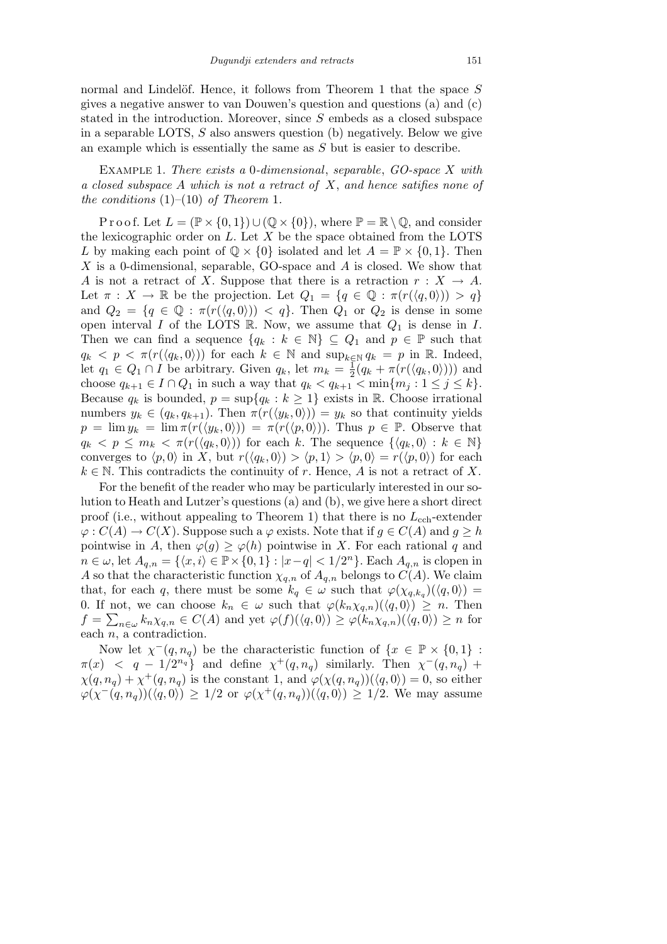normal and Lindelöf. Hence, it follows from Theorem 1 that the space S gives a negative answer to van Douwen's question and questions (a) and (c) stated in the introduction. Moreover, since *S* embeds as a closed subspace in a separable LOTS, *S* also answers question (b) negatively. Below we give an example which is essentially the same as *S* but is easier to describe.

Example 1. *There exists a* 0*-dimensional*, *separable*, *GO-space X with a closed subspace A which is not a retract of X*, *and hence satifies none of the conditions* (1)–(10) *of Theorem* 1*.*

P r o o f. Let  $L = (\mathbb{P} \times \{0, 1\}) \cup (\mathbb{Q} \times \{0\})$ , where  $\mathbb{P} = \mathbb{R} \setminus \mathbb{Q}$ , and consider the lexicographic order on *L*. Let *X* be the space obtained from the LOTS *L* by making each point of  $\mathbb{Q} \times \{0\}$  isolated and let  $A = \mathbb{P} \times \{0, 1\}$ . Then *X* is a 0-dimensional, separable, GO-space and *A* is closed. We show that *A* is not a retract of *X*. Suppose that there is a retraction  $r : X \to A$ . Let  $\pi: X \to \mathbb{R}$  be the projection. Let  $Q_1 = \{q \in \mathbb{Q} : \pi(r(\langle q, 0 \rangle)) > q\}$ and  $Q_2 = \{q \in \mathbb{Q} : \pi(r(\langle q, 0 \rangle)) < q\}$ . Then  $Q_1$  or  $Q_2$  is dense in some open interval *I* of the LOTS  $\mathbb R$ . Now, we assume that  $Q_1$  is dense in *I*. Then we can find a sequence  $\{q_k : k \in \mathbb{N}\}\subseteq Q_1$  and  $p \in \mathbb{P}$  such that  $q_k < p < \pi(r(\langle q_k, 0 \rangle))$  for each  $k \in \mathbb{N}$  and  $\sup_{k \in \mathbb{N}} q_k = p$  in R. Indeed, let  $q_1 \in Q_1 \cap I$  be arbitrary. Given  $q_k$ , let  $m_k = \frac{1}{2}$  $\frac{1}{2}(q_k + \pi(r(\langle q_k, 0 \rangle)))$  and choose  $q_{k+1} \in I \cap Q_1$  in such a way that  $q_k < q_{k+1} < \min\{m_j : 1 \leq j \leq k\}$ . Because  $q_k$  is bounded,  $p = \sup\{q_k : k \geq 1\}$  exists in R. Choose irrational numbers  $y_k \in (q_k, q_{k+1})$ . Then  $\pi(r(\langle y_k, 0 \rangle)) = y_k$  so that continuity yields  $p = \lim y_k = \lim \pi(r(\langle y_k, 0 \rangle)) = \pi(r(\langle p, 0 \rangle))$ . Thus  $p \in \mathbb{P}$ . Observe that  $q_k < p \leq m_k < \pi(r(\langle q_k, 0 \rangle))$  for each *k*. The sequence  $\{\langle q_k, 0 \rangle : k \in \mathbb{N}\}\$ converges to  $\langle p,0 \rangle$  in X, but  $r(\langle q_k,0 \rangle) > \langle p,1 \rangle > \langle p,0 \rangle = r(\langle p,0 \rangle)$  for each  $k \in \mathbb{N}$ . This contradicts the continuity of *r*. Hence, *A* is not a retract of *X*.

For the benefit of the reader who may be particularly interested in our solution to Heath and Lutzer's questions (a) and (b), we give here a short direct proof (i.e., without appealing to Theorem 1) that there is no  $L_{\text{cch}}$ -extender  $\varphi: C(A) \to C(X)$ . Suppose such a  $\varphi$  exists. Note that if  $g \in C(A)$  and  $g \geq h$ pointwise in *A*, then  $\varphi(g) \geq \varphi(h)$  pointwise in *X*. For each rational *q* and  $n \in \omega$ , let  $A_{q,n} = \{ \langle x, i \rangle \in \mathbb{P} \times \{0,1\} : |x-q| < 1/2^n \}.$  Each  $A_{q,n}$  is clopen in *A* so that the characteristic function  $\chi_{q,n}$  of  $A_{q,n}$  belongs to  $C(A)$ . We claim that, for each *q*, there must be some  $k_q \in \omega$  such that  $\varphi(\chi_{q,k_q})(\langle q,0\rangle) =$ 0. If not, we can choose  $k_n \in \omega$  such that  $\varphi(k_n \chi_{q,n}) (\langle q, 0 \rangle) \geq n$ . Then  $f = \sum_{n \in \omega} k_n \chi_{q,n} \in C(A)$  and yet  $\varphi(f)(\langle q, 0 \rangle) \ge \varphi(k_n \chi_{q,n})(\langle q, 0 \rangle) \ge n$  for each *n*, a contradiction.

Now let  $\chi^-(q, n_q)$  be the characteristic function of  $\{x \in \mathbb{P} \times \{0,1\}$ :  $\pi(x)$  *< q* − 1/2<sup>*n<sub>q</sub>*</sup></sub> and define  $\chi^+(q, n_q)$  similarly. Then  $\chi^-(q, n_q)$  +  $\chi(q, n_q) + \chi^+(q, n_q)$  is the constant 1, and  $\varphi(\chi(q, n_q))(\langle q, 0 \rangle) = 0$ , so either  $\varphi(\chi^-(q, n_q))(\langle q, 0 \rangle) \geq 1/2$  or  $\varphi(\chi^+(q, n_q))(\langle q, 0 \rangle) \geq 1/2$ . We may assume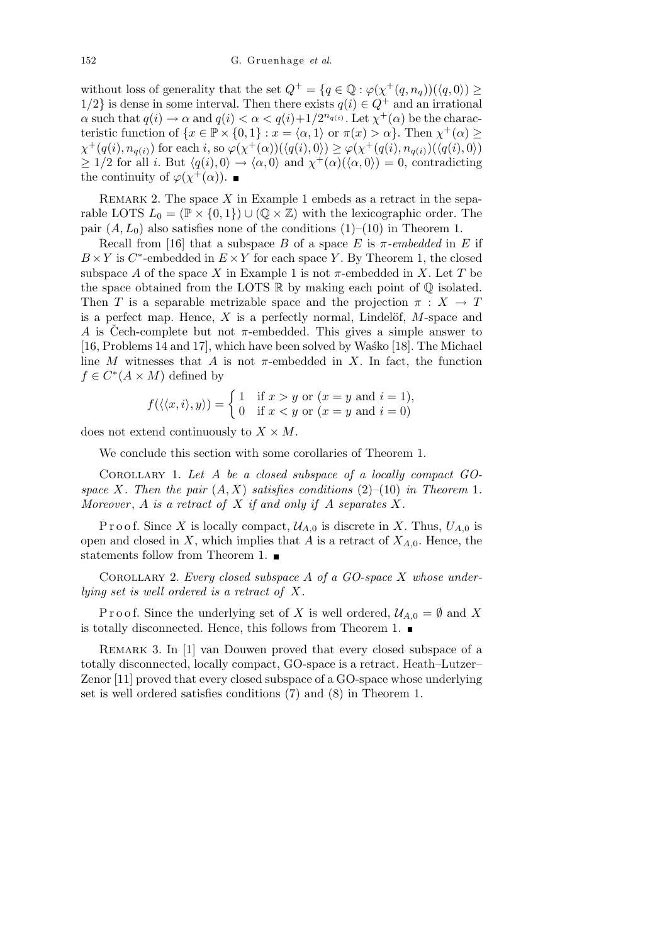without loss of generality that the set  $Q^+ = \{q \in \mathbb{Q} : \varphi(\chi^+(q, n_q))(\langle q, 0 \rangle) \geq$ 1/2} is dense in some interval. Then there exists  $q(i) \in Q^+$  and an irrational  $\alpha$  such that  $q(i) \to \alpha$  and  $q(i) < \alpha < q(i) + 1/2^{n_{q(i)}}$ . Let  $\chi^+(\alpha)$  be the characteristic function of  $\{x \in \mathbb{P} \times \{0,1\} : x = \langle \alpha,1 \rangle \text{ or } \pi(x) > \alpha\}.$  Then  $\chi^+(\alpha) \ge$  $\chi^+(q(i), n_{q(i)})$  for each i, so  $\varphi(\chi^+(\alpha))(\langle q(i), 0 \rangle) \geq \varphi(\chi^+(q(i), n_{q(i)})(\langle q(i), 0 \rangle)$  $\geq 1/2$  for all *i*. But  $\langle q(i), 0 \rangle \rightarrow \langle \alpha, 0 \rangle$  and  $\chi^+(\alpha)(\langle \alpha, 0 \rangle) = 0$ , contradicting the continuity of  $\varphi(\chi^+(\alpha))$ .

REMARK 2. The space  $X$  in Example 1 embeds as a retract in the separable LOTS  $L_0 = (\mathbb{P} \times \{0, 1\}) \cup (\mathbb{Q} \times \mathbb{Z})$  with the lexicographic order. The pair  $(A, L_0)$  also satisfies none of the conditions  $(1)$ – $(10)$  in Theorem 1.

Recall from [16] that a subspace *B* of a space *E* is  $\pi$ *-embedded* in *E* if  $B \times Y$  is  $C^*$ -embedded in  $E \times Y$  for each space *Y*. By Theorem 1, the closed subspace A of the space X in Example 1 is not  $\pi$ -embedded in X. Let T be the space obtained from the LOTS  $\mathbb R$  by making each point of  $\mathbb Q$  isolated. Then *T* is a separable metrizable space and the projection  $\pi : X \to T$ is a perfect map. Hence,  $X$  is a perfectly normal, Lindelöf,  $M$ -space and *A* is Cech-complete but not  $\pi$ -embedded. This gives a simple answer to [16, Problems 14 and 17], which have been solved by Wasko [18]. The Michael line *M* witnesses that *A* is not  $\pi$ -embedded in *X*. In fact, the function  $f \in C^*(A \times M)$  defined by

$$
f(\langle\langle x,i\rangle,y\rangle) = \begin{cases} 1 & \text{if } x > y \text{ or } (x = y \text{ and } i = 1), \\ 0 & \text{if } x < y \text{ or } (x = y \text{ and } i = 0) \end{cases}
$$

does not extend continuously to  $X \times M$ .

We conclude this section with some corollaries of Theorem 1.

Corollary 1. *Let A be a closed subspace of a locally compact GOspace X. Then the pair*  $(A, X)$  *satisfies conditions*  $(2)$ – $(10)$  *in Theorem* 1*. Moreover* , *A is a retract of X if and only if A separates X.*

P r o o f. Since *X* is locally compact,  $\mathcal{U}_{A,0}$  is discrete in *X*. Thus,  $U_{A,0}$  is open and closed in  $X$ , which implies that  $A$  is a retract of  $X_{A,0}$ . Hence, the statements follow from Theorem 1.  $\blacksquare$ 

Corollary 2. *Every closed subspace A of a GO-space X whose underlying set is well ordered is a retract of X.*

P r o o f. Since the underlying set of *X* is well ordered,  $\mathcal{U}_{A,0} = \emptyset$  and *X* is totally disconnected. Hence, this follows from Theorem 1.  $\blacksquare$ 

Remark 3. In [1] van Douwen proved that every closed subspace of a totally disconnected, locally compact, GO-space is a retract. Heath–Lutzer– Zenor [11] proved that every closed subspace of a GO-space whose underlying set is well ordered satisfies conditions (7) and (8) in Theorem 1.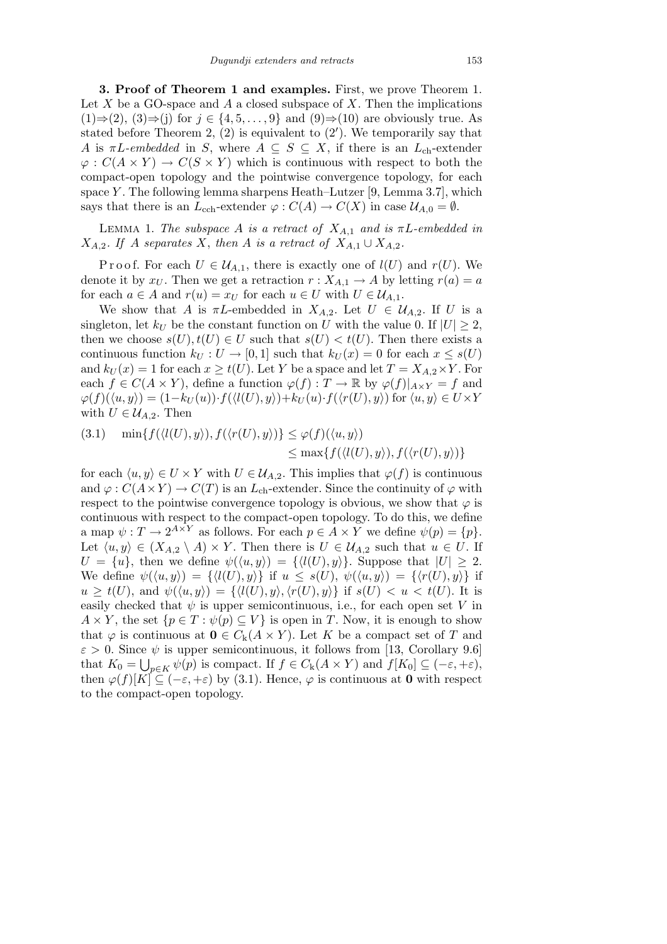**3. Proof of Theorem 1 and examples.** First, we prove Theorem 1. Let  $X$  be a GO-space and  $A$  a closed subspace of  $X$ . Then the implications (1)*⇒*(2), (3)*⇒*(j) for *j ∈ {*4*,* 5*, . . . ,* 9*}* and (9)*⇒*(10) are obviously true. As stated before Theorem  $2, (2)$  is equivalent to  $(2')$ . We temporarily say that *A* is  $\pi L$ *-embedded* in *S*, where  $A \subseteq S \subseteq X$ , if there is an  $L_{ch}$ -extender  $\varphi: C(A \times Y) \to C(S \times Y)$  which is continuous with respect to both the compact-open topology and the pointwise convergence topology, for each space *Y* . The following lemma sharpens Heath–Lutzer [9, Lemma 3.7], which says that there is an  $L_{\text{cch}}$ -extender  $\varphi$  :  $C(A) \to C(X)$  in case  $\mathcal{U}_{A,0} = \emptyset$ .

LEMMA 1. *The subspace A is a retract of*  $X_{A,1}$  *and is*  $\pi L$ -embedded *in*  $X_{A,2}$ *. If A separates X*, *then A is a retract of*  $X_{A,1} \cup X_{A,2}$ *.* 

Proof. For each  $U \in \mathcal{U}_{A,1}$ , there is exactly one of  $l(U)$  and  $r(U)$ . We denote it by  $x_U$ . Then we get a retraction  $r: X_{A,1} \to A$  by letting  $r(a) = a$ for each  $a \in A$  and  $r(u) = x_U$  for each  $u \in U$  with  $U \in \mathcal{U}_{A,1}$ .

We show that *A* is  $\pi L$ -embedded in  $X_{A,2}$ . Let  $U \in \mathcal{U}_{A,2}$ . If *U* is a singleton, let  $k_U$  be the constant function on *U* with the value 0. If  $|U| \geq 2$ , then we choose  $s(U), t(U) \in U$  such that  $s(U) < t(U)$ . Then there exists a continuous function  $k_U : U \to [0,1]$  such that  $k_U(x) = 0$  for each  $x \leq s(U)$ and  $k_U(x) = 1$  for each  $x \geq t(U)$ . Let *Y* be a space and let  $T = X_{A,2} \times Y$ . For each  $f \in C(A \times Y)$ , define a function  $\varphi(f) : T \to \mathbb{R}$  by  $\varphi(f)|_{A \times Y} = f$  and  $\varphi(f)(\langle u, y \rangle) = (1 - k_U(u)) \cdot f(\langle l(U), y \rangle) + k_U(u) \cdot f(\langle r(U), y \rangle)$  for  $\langle u, y \rangle \in U \times Y$ with  $U \in \mathcal{U}_{A,2}$ . Then

(3.1) 
$$
\min\{f(\langle l(U), y \rangle), f(\langle r(U), y \rangle)\} \leq \varphi(f)(\langle u, y \rangle)
$$

$$
\leq \max\{f(\langle l(U), y \rangle), f(\langle r(U), y \rangle)\}
$$

for each  $\langle u, y \rangle \in U \times Y$  with  $U \in \mathcal{U}_{A,2}$ . This implies that  $\varphi(f)$  is continuous and  $\varphi$  :  $C(A \times Y) \to C(T)$  is an  $L_{ch}$ -extender. Since the continuity of  $\varphi$  with respect to the pointwise convergence topology is obvious, we show that  $\varphi$  is continuous with respect to the compact-open topology. To do this, we define a map  $\psi: T \to 2^{A \times Y}$  as follows. For each  $p \in A \times Y$  we define  $\psi(p) = \{p\}.$ Let  $\langle u, y \rangle \in (X_{A,2} \setminus A) \times Y$ . Then there is  $U \in \mathcal{U}_{A,2}$  such that  $u \in U$ . If  $U = \{u\}$ , then we define  $\psi(\langle u, y \rangle) = \{\langle l(U), y \rangle\}$ . Suppose that  $|U| \geq 2$ . We define  $\psi(\langle u, y \rangle) = \{ \langle l(U), y \rangle \}$  if  $u \leq s(U), \psi(\langle u, y \rangle) = \{ \langle r(U), y \rangle \}$  if  $u \geq t(U)$ , and  $\psi(\langle u, y \rangle) = {\langle \langle l(U), y \rangle, \langle r(U), y \rangle \rangle}$  if  $s(U) < u < t(U)$ . It is easily checked that  $\psi$  is upper semicontinuous, i.e., for each open set V in  $A \times Y$ , the set  $\{p \in T : \psi(p) \subseteq V\}$  is open in *T*. Now, it is enough to show that  $\varphi$  is continuous at  $\mathbf{0} \in C_{k}(A \times Y)$ . Let K be a compact set of T and  $\varepsilon > 0$ . Since  $\psi$  is upper semicontinuous, it follows from [13, Corollary 9.6] that  $K_0 = \bigcup_{p \in K} \psi(p)$  is compact. If  $f \in C_k(A \times Y)$  and  $f[K_0] \subseteq (-\varepsilon, +\varepsilon)$ , then  $\varphi(f)[K] \subseteq (-\varepsilon, +\varepsilon)$  by (3.1). Hence,  $\varphi$  is continuous at **0** with respect to the compact-open topology.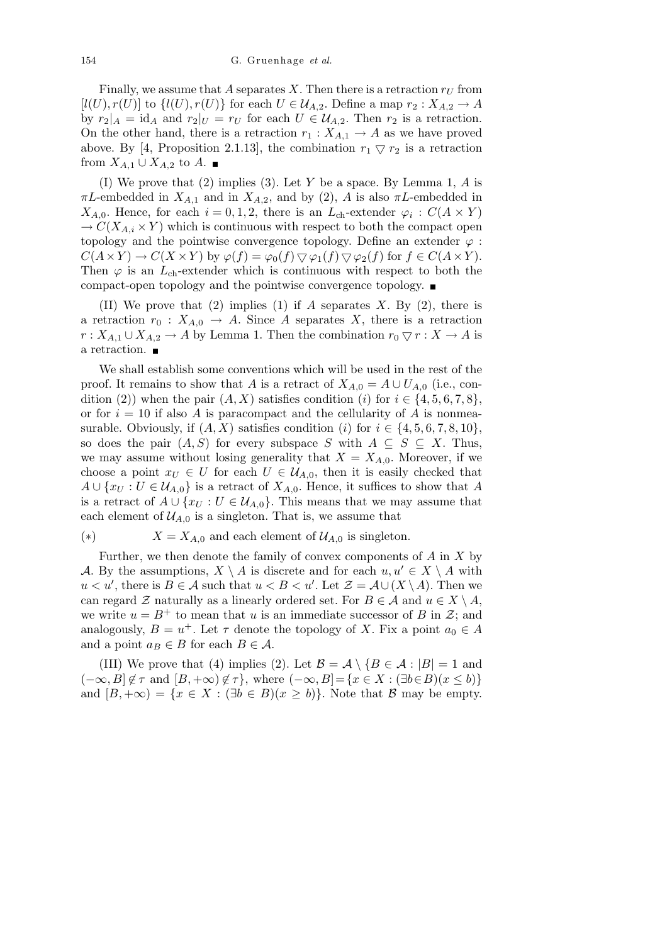Finally, we assume that A separates X. Then there is a retraction  $r_U$  from  $[l(U), r(U)]$  to  $\{l(U), r(U)\}$  for each  $U \in \mathcal{U}_{A,2}$ . Define a map  $r_2 : X_{A,2} \to A$ by  $r_2|_A = id_A$  and  $r_2|_U = r_U$  for each  $U \in \mathcal{U}_{A,2}$ . Then  $r_2$  is a retraction. On the other hand, there is a retraction  $r_1 : X_{A,1} \to A$  as we have proved above. By [4, Proposition 2.1.13], the combination  $r_1 \nabla r_2$  is a retraction from  $X_{A,1}$  ∪  $X_{A,2}$  to  $A$ . ■

(I) We prove that (2) implies (3). Let *Y* be a space. By Lemma 1, *A* is *πL*-embedded in  $X_{A,1}$  and in  $X_{A,2}$ , and by (2), *A* is also  $\pi L$ -embedded in *X*<sub>*A*,0</sub>. Hence, for each  $i = 0, 1, 2$ , there is an *L*<sub>ch</sub>-extender  $\varphi_i$ :  $C(A \times Y)$  $\rightarrow$  *C*(*X*<sub>*A*,*i*</sub>  $\times$  *Y*) which is continuous with respect to both the compact open topology and the pointwise convergence topology. Define an extender  $\varphi$ :  $C(A \times Y) \to C(X \times Y)$  by  $\varphi(f) = \varphi_0(f) \nabla \varphi_1(f) \nabla \varphi_2(f)$  for  $f \in C(A \times Y)$ . Then  $\varphi$  is an  $L_{ch}$ -extender which is continuous with respect to both the compact-open topology and the pointwise convergence topology.

(II) We prove that (2) implies (1) if *A* separates *X*. By (2), there is a retraction  $r_0$ :  $X_{A,0} \rightarrow A$ . Since A separates X, there is a retraction  $r: X_{A,1} \cup X_{A,2} \to A$  by Lemma 1. Then the combination  $r_0 \nabla r: X \to A$  is a retraction.  $\blacksquare$ 

We shall establish some conventions which will be used in the rest of the proof. It remains to show that *A* is a retract of  $X_{A,0} = A \cup U_{A,0}$  (i.e., condition (2)) when the pair  $(A, X)$  satisfies condition (*i*) for  $i \in \{4, 5, 6, 7, 8\}$ , or for  $i = 10$  if also A is paracompact and the cellularity of A is nonmeasurable. Obviously, if  $(A, X)$  satisfies condition  $(i)$  for  $i \in \{4, 5, 6, 7, 8, 10\}$ , so does the pair  $(A, S)$  for every subspace *S* with  $A \subseteq S \subseteq X$ . Thus, we may assume without losing generality that  $X = X_{A,0}$ . Moreover, if we choose a point  $x_U \in U$  for each  $U \in \mathcal{U}_{A,0}$ , then it is easily checked that  $A \cup \{x_U : U \in \mathcal{U}_{A,0}\}$  is a retract of  $X_{A,0}$ . Hence, it suffices to show that *A* is a retract of  $A \cup \{x_U : U \in \mathcal{U}_{A,0}\}$ . This means that we may assume that each element of  $\mathcal{U}_{A,0}$  is a singleton. That is, we assume that

## (\*)  $X = X_{A,0}$  and each element of  $\mathcal{U}_{A,0}$  is singleton.

Further, we then denote the family of convex components of *A* in *X* by *A*. By the assumptions,  $X \setminus A$  is discrete and for each  $u, u' \in X \setminus A$  with  $u < u'$ , there is  $B \in \mathcal{A}$  such that  $u < B < u'$ . Let  $\mathcal{Z} = \mathcal{A} \cup (X \setminus A)$ . Then we can regard  $\mathcal{Z}$  naturally as a linearly ordered set. For  $B \in \mathcal{A}$  and  $u \in X \setminus A$ , we write  $u = B^+$  to mean that *u* is an immediate successor of *B* in  $\mathcal{Z}$ ; and analogously,  $B = u^+$ . Let  $\tau$  denote the topology of *X*. Fix a point  $a_0 \in A$ and a point  $a_B \in B$  for each  $B \in \mathcal{A}$ .

(III) We prove that (4) implies (2). Let  $\mathcal{B} = \mathcal{A} \setminus \{B \in \mathcal{A} : |B| = 1 \text{ and }$  $(-\infty, B] \notin \tau$  and  $[B, +\infty) \notin \tau$ , where  $(-\infty, B] = \{x \in X : (\exists b \in B)(x \le b)\}\$ and  $[B, +\infty) = \{x \in X : (\exists b \in B)(x \ge b)\}\)$ . Note that *B* may be empty.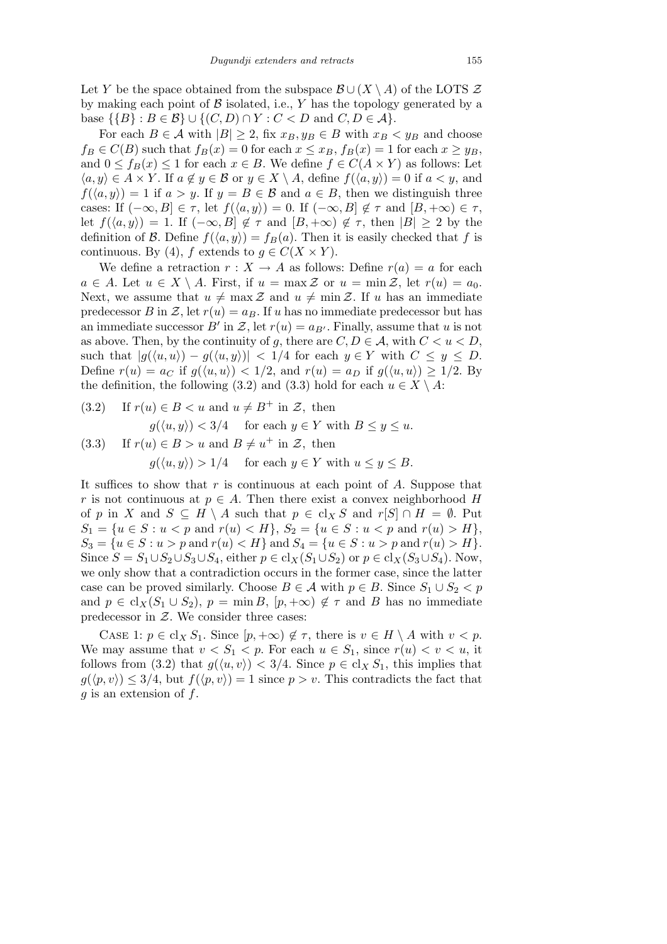Let *Y* be the space obtained from the subspace  $\mathcal{B} \cup (X \setminus A)$  of the LOTS  $\mathcal Z$ by making each point of  $\beta$  isolated, i.e.,  $Y$  has the topology generated by a  $\{B\}$  : *B* ∈ *B*} ∪ {(*C, D*) ∩ *Y* : *C* < *D* and *C, D* ∈ *A*}.

For each  $B \in \mathcal{A}$  with  $|B| \geq 2$ , fix  $x_B, y_B \in B$  with  $x_B < y_B$  and choose  $f_B \in C(B)$  such that  $f_B(x) = 0$  for each  $x \le x_B$ ,  $f_B(x) = 1$  for each  $x \ge y_B$ , and  $0 \le f_B(x) \le 1$  for each  $x \in B$ . We define  $f \in C(A \times Y)$  as follows: Let  $\langle a, y \rangle$  ∈ *A* × *Y* . If *a*  $\notin$  *y*  $\in$  *B* or *y*  $\in$  *X*  $\setminus$  *A*, define *f*( $\langle a, y \rangle$ ) = 0 if *a* < *y*, and  $f(\langle a, y \rangle) = 1$  if  $a > y$ . If  $y = B \in \mathcal{B}$  and  $a \in B$ , then we distinguish three cases: If  $(-\infty, B] \in \tau$ , let  $f(\langle a, y \rangle) = 0$ . If  $(-\infty, B] \notin \tau$  and  $[B, +\infty) \in \tau$ , let  $f(\langle a, y \rangle) = 1$ . If  $(-\infty, B] \notin \tau$  and  $[B, +\infty) \notin \tau$ , then  $|B| \geq 2$  by the definition of *B*. Define  $f(\langle a, y \rangle) = f_B(a)$ . Then it is easily checked that *f* is continuous. By (4), *f* extends to  $g \in C(X \times Y)$ .

We define a retraction  $r : X \to A$  as follows: Define  $r(a) = a$  for each  $a \in A$ . Let  $u \in X \setminus A$ . First, if  $u = \max \mathcal{Z}$  or  $u = \min \mathcal{Z}$ , let  $r(u) = a_0$ . Next, we assume that  $u \neq \max \mathcal{Z}$  and  $u \neq \min \mathcal{Z}$ . If *u* has an immediate predecessor *B* in *Z*, let  $r(u) = a_B$ . If *u* has no immediate predecessor but has an immediate successor  $B'$  in  $\mathcal{Z}$ , let  $r(u) = a_{B'}$ . Finally, assume that *u* is not as above. Then, by the continuity of *g*, there are  $C, D \in \mathcal{A}$ , with  $C < u < D$ , such that  $|g(\langle u, u \rangle) - g(\langle u, y \rangle)| < 1/4$  for each  $y \in Y$  with  $C \leq y \leq D$ . Define  $r(u) = a_C$  if  $g(\langle u, u \rangle) < 1/2$ , and  $r(u) = a_D$  if  $g(\langle u, u \rangle) \ge 1/2$ . By the definition, the following (3.2) and (3.3) hold for each  $u \in X \setminus A$ :

(3.2) If 
$$
r(u) \in B < u
$$
 and  $u \neq B^+$  in  $\mathcal{Z}$ , then  $g(\langle u, y \rangle) < 3/4$  for each  $y \in Y$  with  $B \leq y \leq u$ . \n(3.3) If  $r(u) \in B > u$  and  $B \neq u^+$  in  $\mathcal{Z}$ , then  $g(\langle u, y \rangle) > 1/4$  for each  $y \in Y$  with  $u \leq y \leq B$ .

It suffices to show that *r* is continuous at each point of *A*. Suppose that *r* is not continuous at  $p \in A$ . Then there exist a convex neighborhood *H* of *p* in *X* and  $S \subseteq H \setminus A$  such that  $p \in cl_X S$  and  $r[S] \cap H = \emptyset$ . Put  $S_1 = \{u \in S : u < p \text{ and } r(u) < H\}, S_2 = \{u \in S : u < p \text{ and } r(u) > H\},$  $S_3 = \{u \in S : u > p \text{ and } r(u) < H\}$  and  $S_4 = \{u \in S : u > p \text{ and } r(u) > H\}.$ Since *S* = *S*<sub>1</sub>*∪S*<sub>2</sub>*∪S*<sub>3</sub>*∪S*<sub>4</sub>, either *p* ∈ cl<sub>*X*</sub>(*S*<sub>1</sub>*∪S*<sub>2</sub>) or *p* ∈ cl<sub>*X*</sub>(*S*<sub>3</sub>*∪S*<sub>4</sub>). Now, we only show that a contradiction occurs in the former case, since the latter case can be proved similarly. Choose  $B \in \mathcal{A}$  with  $p \in B$ . Since  $S_1 \cup S_2 < p$ and  $p \in cl_X(S_1 \cup S_2)$ ,  $p = \min B$ ,  $[p, +\infty) \notin \tau$  and *B* has no immediate predecessor in *Z*. We consider three cases:

CASE 1:  $p \in \text{cl}_X S_1$ . Since  $[p, +\infty) \notin \tau$ , there is  $v \in H \setminus A$  with  $v < p$ . We may assume that  $v < S_1 < p$ . For each  $u \in S_1$ , since  $r(u) < v < u$ , it follows from (3.2) that  $g(\langle u, v \rangle) < 3/4$ . Since  $p \in cl_X S_1$ , this implies that  $g(\langle p, v \rangle) \leq 3/4$ , but  $f(\langle p, v \rangle) = 1$  since  $p > v$ . This contradicts the fact that *g* is an extension of *f*.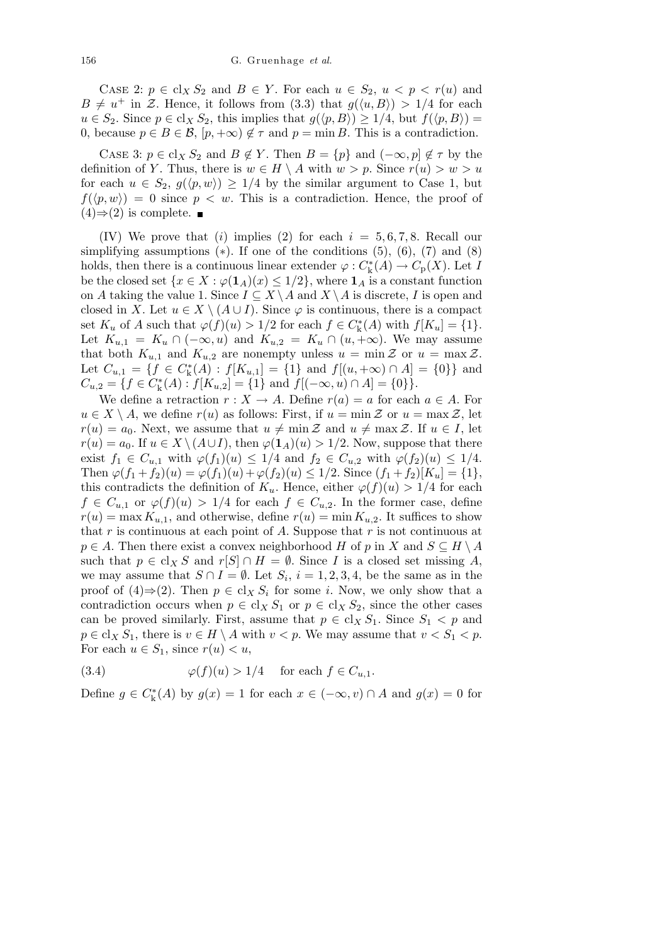CASE 2:  $p \in \text{cl}_X S_2$  and  $B \in Y$ . For each  $u \in S_2$ ,  $u < p < r(u)$  and  $B \neq u^+$  in *Z*. Hence, it follows from (3.3) that  $g(\langle u, B \rangle) > 1/4$  for each *u* ∈ *S*<sub>2</sub>. Since *p* ∈ cl<sub>*X*</sub> *S*<sub>2</sub>, this implies that *g*( $\langle p, B \rangle$ ) ≥ 1/4, but *f*( $\langle p, B \rangle$ ) = 0, because  $p \in B \in \mathcal{B}$ ,  $[p, +\infty) \notin \tau$  and  $p = \min B$ . This is a contradiction.

CASE 3:  $p \in cl_X S_2$  and  $B \notin Y$ . Then  $B = \{p\}$  and  $(-\infty, p] \notin \tau$  by the definition of *Y*. Thus, there is  $w \in H \setminus A$  with  $w > p$ . Since  $r(u) > w > u$ for each  $u \in S_2$ ,  $g(\langle p, w \rangle) \geq 1/4$  by the similar argument to Case 1, but  $f(\langle p, w \rangle) = 0$  since  $p < w$ . This is a contradiction. Hence, the proof of  $(4)$   $\Rightarrow$  (2) is complete. ■

(IV) We prove that (*i*) implies (2) for each  $i = 5, 6, 7, 8$ . Recall our simplifying assumptions (*∗*). If one of the conditions (5), (6), (7) and (8) holds, then there is a continuous linear extender  $\varphi : C^*_{\mathbf{k}}(A) \to C_{\mathbf{p}}(X)$ . Let *I* be the closed set  $\{x \in X : \varphi(\mathbf{1}_A)(x) \leq 1/2\}$ , where  $\mathbf{1}_A$  is a constant function on *A* taking the value 1. Since  $I \subseteq X \setminus A$  and  $X \setminus A$  is discrete, *I* is open and closed in *X*. Let  $u \in X \setminus (A \cup I)$ . Since  $\varphi$  is continuous, there is a compact set  $K_u$  of  $A$  such that  $\varphi(f)(u) > 1/2$  for each  $f \in C_k^*(A)$  with  $f[K_u] = \{1\}$ . Let  $K_{u,1} = K_u \cap (-\infty, u)$  and  $K_{u,2} = K_u \cap (u, +\infty)$ . We may assume that both  $K_{u,1}$  and  $K_{u,2}$  are nonempty unless  $u = \min \mathcal{Z}$  or  $u = \max \mathcal{Z}$ . Let  $C_{u,1} = \{f \in C^*_k(A) : f[K_{u,1}] = \{1\}$  and  $f[(u, +\infty) \cap A] = \{0\}\}\$ and  $C_{u,2} = \{f \in C^*_k(A) : f[K_{u,2}] = \{1\} \text{ and } f[(-\infty, u) \cap A] = \{0\}\}.$ 

We define a retraction  $r : X \to A$ . Define  $r(a) = a$  for each  $a \in A$ . For  $u \in X \setminus A$ , we define  $r(u)$  as follows: First, if  $u = \min \mathcal{Z}$  or  $u = \max \mathcal{Z}$ , let  $r(u) = a_0$ . Next, we assume that  $u \neq \min \mathcal{Z}$  and  $u \neq \max \mathcal{Z}$ . If  $u \in I$ , let *r*(*u*) = *a*<sub>0</sub>. If *u* ∈ *X* \ (*A*∪*I*), then  $\varphi$ (**1**<sub>*A*</sub>)(*u*) > 1/2. Now, suppose that there exist  $f_1 \in C_{u,1}$  with  $\varphi(f_1)(u) \leq 1/4$  and  $f_2 \in C_{u,2}$  with  $\varphi(f_2)(u) \leq 1/4$ . Then  $\varphi(f_1 + f_2)(u) = \varphi(f_1)(u) + \varphi(f_2)(u) \leq 1/2$ . Since  $(f_1 + f_2)[K_u] = \{1\}$ , this contradicts the definition of  $K_u$ . Hence, either  $\varphi(f)(u) > 1/4$  for each  $f \in C_{u,1}$  or  $\varphi(f)(u) > 1/4$  for each  $f \in C_{u,2}$ . In the former case, define  $r(u) = \max K_{u,1}$ , and otherwise, define  $r(u) = \min K_{u,2}$ . It suffices to show that *r* is continuous at each point of *A*. Suppose that *r* is not continuous at  $p \in A$ . Then there exist a convex neighborhood *H* of *p* in *X* and  $S \subseteq H \setminus A$ such that  $p \in \text{cl}_X S$  and  $r[S] \cap H = \emptyset$ . Since *I* is a closed set missing *A*, we may assume that  $S \cap I = \emptyset$ . Let  $S_i$ ,  $i = 1, 2, 3, 4$ , be the same as in the proof of  $(4) \Rightarrow (2)$ . Then  $p \in \text{cl}_X S_i$  for some *i*. Now, we only show that a contradiction occurs when  $p \in \text{cl}_X S_1$  or  $p \in \text{cl}_X S_2$ , since the other cases can be proved similarly. First, assume that  $p \in \text{cl}_X S_1$ . Since  $S_1 < p$  and  $p \in \text{cl}_X S_1$ , there is  $v \in H \setminus A$  with  $v < p$ . We may assume that  $v < S_1 < p$ . For each  $u \in S_1$ , since  $r(u) < u$ ,

(3.4) 
$$
\varphi(f)(u) > 1/4 \quad \text{for each } f \in C_{u,1}.
$$

Define  $g \in C^*_{\mathbf{k}}(A)$  by  $g(x) = 1$  for each  $x \in (-\infty, v) \cap A$  and  $g(x) = 0$  for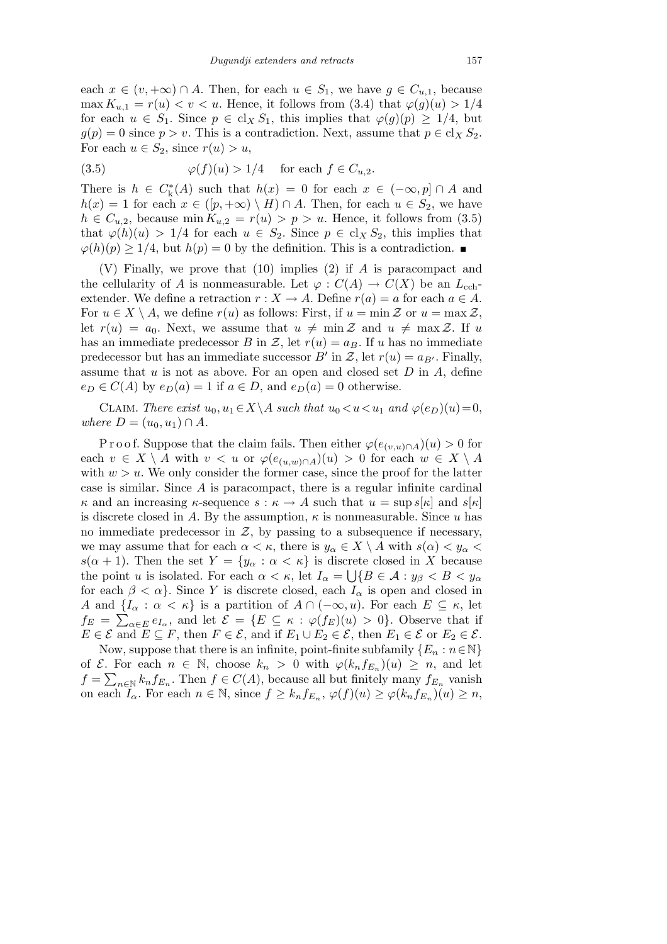each  $x \in (v, +\infty) \cap A$ . Then, for each  $u \in S_1$ , we have  $g \in C_{u,1}$ , because max  $K_{u,1} = r(u) < v < u$ . Hence, it follows from (3.4) that  $\varphi(g)(u) > 1/4$ for each  $u \in S_1$ . Since  $p \in cl_X S_1$ , this implies that  $\varphi(g)(p) \geq 1/4$ , but  $g(p) = 0$  since  $p > v$ . This is a contradiction. Next, assume that  $p \in cl_X S_2$ . For each  $u \in S_2$ , since  $r(u) > u$ ,

(3.5) 
$$
\varphi(f)(u) > 1/4 \quad \text{for each } f \in C_{u,2}.
$$

There is  $h \in C^*_{\mathbf{k}}(A)$  such that  $h(x) = 0$  for each  $x \in (-\infty, p] \cap A$  and *h*(*x*) = 1 for each *x* ∈ ([*p*, +∞) *\ H*) ∩ *A*. Then, for each *u* ∈ *S*<sub>2</sub>, we have  $h \in C_{u,2}$ , because min  $K_{u,2} = r(u) > p > u$ . Hence, it follows from (3.5) that  $\varphi(h)(u) > 1/4$  for each  $u \in S_2$ . Since  $p \in \text{cl}_X S_2$ , this implies that  $\varphi(h)(p) \geq 1/4$ , but  $h(p) = 0$  by the definition. This is a contradiction.

(V) Finally, we prove that (10) implies (2) if *A* is paracompact and the cellularity of *A* is nonmeasurable. Let  $\varphi : C(A) \to C(X)$  be an  $L_{\text{cch}}$ extender. We define a retraction  $r : X \to A$ . Define  $r(a) = a$  for each  $a \in A$ . For  $u \in X \setminus A$ , we define  $r(u)$  as follows: First, if  $u = \min \mathcal{Z}$  or  $u = \max \mathcal{Z}$ , let  $r(u) = a_0$ . Next, we assume that  $u \neq \min \mathcal{Z}$  and  $u \neq \max \mathcal{Z}$ . If *u* has an immediate predecessor *B* in *Z*, let  $r(u) = a_B$ . If *u* has no immediate predecessor but has an immediate successor *B'* in *Z*, let  $r(u) = a_{B'}$ . Finally, assume that *u* is not as above. For an open and closed set *D* in *A*, define  $e_D \in C(A)$  by  $e_D(a) = 1$  if  $a \in D$ , and  $e_D(a) = 0$  otherwise.

CLAIM. *There exist*  $u_0, u_1 \in X \backslash A$  *such that*  $u_0 < u < u_1$  *and*  $\varphi(e_D)(u) = 0$ , *where*  $D = (u_0, u_1) ∩ A$ *.* 

Proof. Suppose that the claim fails. Then either  $\varphi(e_{(v,u)\cap A})(u) > 0$  for each  $v \in X \setminus A$  with  $v < u$  or  $\varphi(e_{(u,w)\cap A})(u) > 0$  for each  $w \in X \setminus A$ with  $w > u$ . We only consider the former case, since the proof for the latter case is similar. Since *A* is paracompact, there is a regular infinite cardinal *κ* and an increasing *κ*-sequence  $s : \kappa \to A$  such that  $u = \sup s[\kappa]$  and  $s[\kappa]$ is discrete closed in A. By the assumption,  $\kappa$  is nonmeasurable. Since  $u$  has no immediate predecessor in  $Z$ , by passing to a subsequence if necessary, we may assume that for each  $\alpha < \kappa$ , there is  $y_{\alpha} \in X \setminus A$  with  $s(\alpha) < y_{\alpha} <$  $s(\alpha + 1)$ . Then the set  $Y = \{y_\alpha : \alpha < \kappa\}$  is discrete closed in *X* because the point *u* is isolated. For each  $\alpha < \kappa$ , let  $I_{\alpha} = \bigcup \{ B \in \mathcal{A} : y_{\beta} < B < y_{\alpha} \}$ for each  $\beta < \alpha$ }. Since *Y* is discrete closed, each  $I_{\alpha}$  is open and closed in *A* and  $\{I_\alpha : \alpha < \kappa\}$  is a partition of  $A \cap (-\infty, u)$ . For each  $E \subseteq \kappa$ , let  $f_E = \sum_{\alpha \in E} e_{I_\alpha}$ , and let  $\mathcal{E} = \{E \subseteq \kappa : \varphi(f_E)(u) > 0\}$ . Observe that if  $E \in \mathcal{E}$  and  $E \subseteq F$ , then  $F \in \mathcal{E}$ , and if  $E_1 \cup E_2 \in \mathcal{E}$ , then  $E_1 \in \mathcal{E}$  or  $E_2 \in \mathcal{E}$ .

Now, suppose that there is an infinite, point-finite subfamily  ${E_n : n \in \mathbb{N}}$ of *E*. For each  $n \in \mathbb{N}$ , choose  $k_n > 0$  with  $\varphi(k_n f_{E_n})(u) \geq n$ , and let  $f = \sum_{n \in \mathbb{N}} k_n f_{E_n}$ . Then  $f \in C(A)$ , because all but finitely many  $f_{E_n}$  vanish on each  $I_{\alpha}$ . For each  $n \in \mathbb{N}$ , since  $f \geq k_n f_{E_n}$ ,  $\varphi(f)(u) \geq \varphi(k_n f_{E_n})(u) \geq n$ ,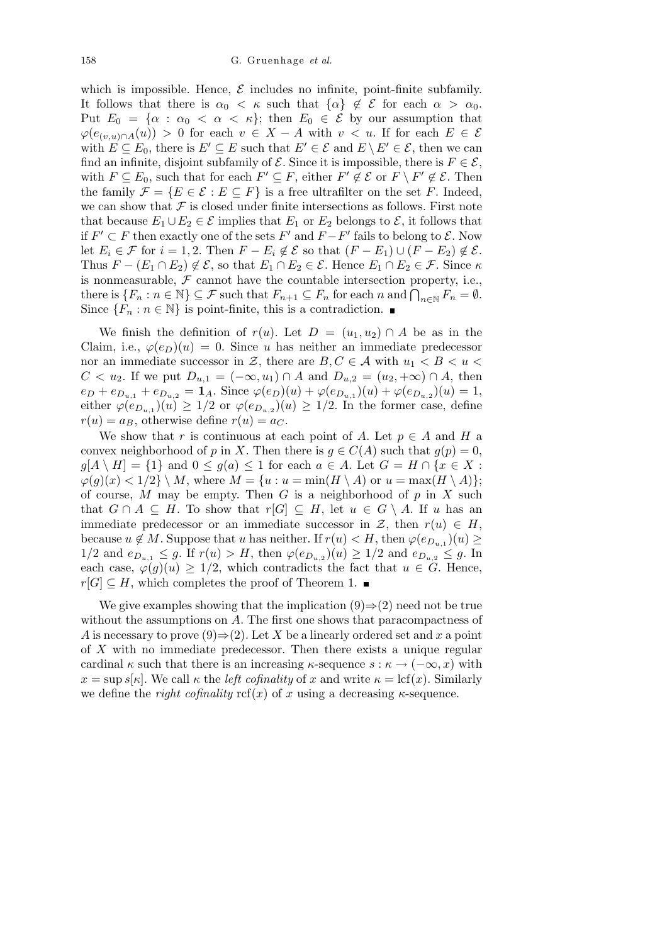which is impossible. Hence,  $\mathcal E$  includes no infinite, point-finite subfamily. It follows that there is  $\alpha_0 < \kappa$  such that  $\{\alpha\} \notin \mathcal{E}$  for each  $\alpha > \alpha_0$ . Put  $E_0 = {\alpha : \alpha_0 < \alpha < \kappa}$ ; then  $E_0 \in \mathcal{E}$  by our assumption that  $\varphi(e_{(v,u)\cap A}(u)) > 0$  for each  $v \in X - A$  with  $v < u$ . If for each  $E \in \mathcal{E}$ with  $E \subseteq E_0$ , there is  $E' \subseteq E$  such that  $E' \in \mathcal{E}$  and  $E \setminus E' \in \mathcal{E}$ , then we can find an infinite, disjoint subfamily of  $\mathcal{E}$ . Since it is impossible, there is  $F \in \mathcal{E}$ , with  $F \subseteq E_0$ , such that for each  $F' \subseteq F$ , either  $F' \not\in \mathcal{E}$  or  $F \setminus F' \not\in \mathcal{E}$ . Then the family  $\mathcal{F} = \{E \in \mathcal{E} : E \subseteq F\}$  is a free ultrafilter on the set *F*. Indeed, we can show that  $\mathcal F$  is closed under finite intersections as follows. First note that because  $E_1 \cup E_2 \in \mathcal{E}$  implies that  $E_1$  or  $E_2$  belongs to  $\mathcal{E}$ , it follows that if  $F' ⊂ F$  then exactly one of the sets  $F'$  and  $F - F'$  fails to belong to  $\mathcal{E}$ . Now let *E*<sub>*i*</sub>  $\in$  *F* for *i* = 1, 2. Then *F* − *E*<sub>*i*</sub>  $\notin$  *E* so that  $(F − E_1) ∪ (F − E_2) ∉ E$ . Thus  $F - (E_1 \cap E_2) \notin \mathcal{E}$ , so that  $E_1 \cap E_2 \in \mathcal{E}$ . Hence  $E_1 \cap E_2 \in \mathcal{F}$ . Since  $\kappa$ is nonmeasurable,  $F$  cannot have the countable intersection property, i.e., there is  ${F_n : n \in \mathbb{N} \subseteq \mathcal{F} \text{ such that } F_{n+1} \subseteq F_n \text{ for each } n \text{ and } \bigcap_{n \in \mathbb{N}} F_n = \emptyset.$ Since  ${F_n : n \in \mathbb{N}}$  is point-finite, this is a contradiction.

We finish the definition of  $r(u)$ . Let  $D = (u_1, u_2) \cap A$  be as in the Claim, i.e.,  $\varphi(e_D)(u) = 0$ . Since *u* has neither an immediate predecessor nor an immediate successor in *Z*, there are  $B, C \in \mathcal{A}$  with  $u_1 < B < u$ *C* < *u*<sub>2</sub>. If we put  $D_{u,1} = (-\infty, u_1) \cap A$  and  $D_{u,2} = (u_2, +\infty) \cap A$ , then  $e_D + e_{D_{u,1}} + e_{D_{u,2}} = \mathbf{1}_A$ . Since  $\varphi(e_D)(u) + \varphi(e_{D_{u,1}})(u) + \varphi(e_{D_{u,2}})(u) = 1$ , either  $\varphi(e_{D_{u,1}})(u) \geq 1/2$  or  $\varphi(e_{D_{u,2}})(u) \geq 1/2$ . In the former case, define  $r(u) = a_B$ , otherwise define  $r(u) = a_C$ .

We show that *r* is continuous at each point of *A*. Let  $p \in A$  and *H* a convex neighborhood of *p* in *X*. Then there is  $g \in C(A)$  such that  $g(p) = 0$ ,  $g[A \setminus H] = \{1\}$  and  $0 \le g(a) \le 1$  for each  $a \in A$ . Let  $G = H \cap \{x \in X$ :  $\varphi(g)(x) < 1/2$   $\setminus$  *M*, where  $M = \{u : u = \min(H \setminus A) \text{ or } u = \max(H \setminus A)\};$ of course, *M* may be empty. Then *G* is a neighborhood of *p* in *X* such that  $G \cap A \subseteq H$ . To show that  $r[G] \subseteq H$ , let  $u \in G \setminus A$ . If *u* has an immediate predecessor or an immediate successor in  $\mathcal{Z}$ , then  $r(u) \in H$ , because  $u \notin M$ . Suppose that *u* has neither. If  $r(u) < H$ , then  $\varphi(e_{D_{u,1}})(u) \ge$  $1/2$  and  $e_{D_{u,1}} \leq g$ . If  $r(u) > H$ , then  $\varphi(e_{D_{u,2}})(u) \geq 1/2$  and  $e_{D_{u,2}} \leq g$ . In each case,  $\varphi(g)(u) \geq 1/2$ , which contradicts the fact that  $u \in G$ . Hence,  $r[G]$  ⊆ *H*, which completes the proof of Theorem 1. ■

We give examples showing that the implication (9)*⇒*(2) need not be true without the assumptions on *A*. The first one shows that paracompactness of *A* is necessary to prove (9) $\Rightarrow$  (2). Let *X* be a linearly ordered set and *x* a point of *X* with no immediate predecessor. Then there exists a unique regular cardinal  $\kappa$  such that there is an increasing  $\kappa$ -sequence  $s : \kappa \to (-\infty, x)$  with  $x = \sup s[\kappa]$ . We call  $\kappa$  the *left cofinality* of *x* and write  $\kappa = \text{lcf}(x)$ . Similarly we define the *right cofinality*  $\text{ref}(x)$  of x using a decreasing  $\kappa$ -sequence.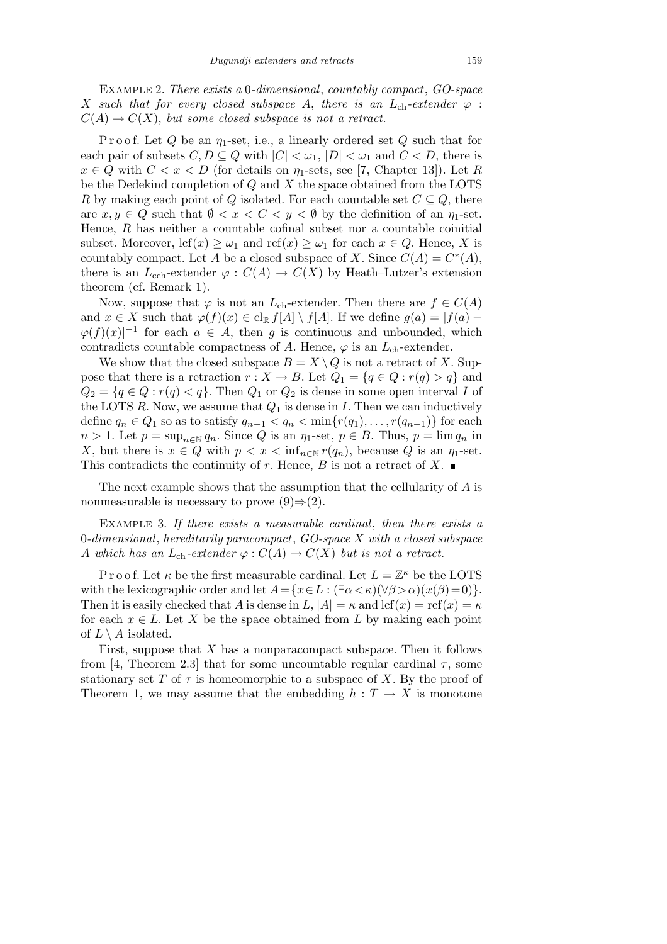Example 2. *There exists a* 0*-dimensional*, *countably compact*, *GO-space X* such that for every closed subspace A, there is an  $L_{ch}$ -extender  $\varphi$ :  $C(A) \rightarrow C(X)$ , *but some closed subspace is not a retract.* 

P r o o f. Let *Q* be an *η*1-set, i.e., a linearly ordered set *Q* such that for each pair of subsets  $C, D \subseteq Q$  with  $|C| < \omega_1$ ,  $|D| < \omega_1$  and  $C < D$ , there is  $x \in Q$  with  $C < x < D$  (for details on  $\eta_1$ -sets, see [7, Chapter 13]). Let *R* be the Dedekind completion of *Q* and *X* the space obtained from the LOTS *R* by making each point of *Q* isolated. For each countable set  $C \subseteq Q$ , there are  $x, y \in Q$  such that  $\emptyset < x < C < y < \emptyset$  by the definition of an  $\eta_1$ -set. Hence, *R* has neither a countable cofinal subset nor a countable coinitial subset. Moreover,  $\text{lcf}(x) \geq \omega_1$  and  $\text{rcf}(x) \geq \omega_1$  for each  $x \in Q$ . Hence, X is countably compact. Let *A* be a closed subspace of *X*. Since  $C(A) = C^*(A)$ , there is an  $L_{\text{cch}}$ -extender  $\varphi$  :  $C(A) \to C(X)$  by Heath–Lutzer's extension theorem (cf. Remark 1).

Now, suppose that  $\varphi$  is not an *L*<sub>ch</sub>-extender. Then there are  $f \in C(A)$ and  $x \in X$  such that  $\varphi(f)(x) \in \text{cl}_{\mathbb{R}} f[A] \setminus f[A]$ . If we define  $g(a) = |f(a) \varphi(f)(x)|^{-1}$  for each  $a \in A$ , then *g* is continuous and unbounded, which contradicts countable compactness of *A*. Hence,  $\varphi$  is an  $L_{ch}$ -extender.

We show that the closed subspace  $B = X \setminus Q$  is not a retract of *X*. Suppose that there is a retraction  $r : X \to B$ . Let  $Q_1 = \{q \in Q : r(q) > q\}$  and  $Q_2 = \{q \in Q : r(q) < q\}$ . Then  $Q_1$  or  $Q_2$  is dense in some open interval *I* of the LOTS  $R$ . Now, we assume that  $Q_1$  is dense in  $I$ . Then we can inductively define  $q_n \in Q_1$  so as to satisfy  $q_{n-1} < q_n < \min\{r(q_1), \ldots, r(q_{n-1})\}$  for each  $n > 1$ . Let  $p = \sup_{n \in \mathbb{N}} q_n$ . Since *Q* is an  $\eta_1$ -set,  $p \in B$ . Thus,  $p = \lim q_n$  in *X*, but there is  $x \in Q$  with  $p < x < \inf_{n \in \mathbb{N}} r(q_n)$ , because *Q* is an  $\eta_1$ -set. This contradicts the continuity of *r*. Hence, *B* is not a retract of *X*.

The next example shows that the assumption that the cellularity of *A* is nonmeasurable is necessary to prove  $(9) \Rightarrow (2)$ .

Example 3. *If there exists a measurable cardinal*, *then there exists a* 0*-dimensional*, *hereditarily paracompact*, *GO-space X with a closed subspace A* which has an  $L_{ch}$ -extender  $\varphi$  :  $C(A) \to C(X)$  but is not a retract.

P r o o f. Let  $\kappa$  be the first measurable cardinal. Let  $L = \mathbb{Z}^{\kappa}$  be the LOTS with the lexicographic order and let  $A = \{x \in L : (\exists \alpha < \kappa)(\forall \beta > \alpha)(x(\beta) = 0)\}.$ Then it is easily checked that *A* is dense in  $L$ ,  $|A| = \kappa$  and lcf(*x*) = rcf(*x*) =  $\kappa$ for each  $x \in L$ . Let X be the space obtained from L by making each point of  $L \setminus A$  isolated.

First, suppose that *X* has a nonparacompact subspace. Then it follows from [4, Theorem 2.3] that for some uncountable regular cardinal  $\tau$ , some stationary set *T* of  $\tau$  is homeomorphic to a subspace of *X*. By the proof of Theorem 1, we may assume that the embedding  $h: T \to X$  is monotone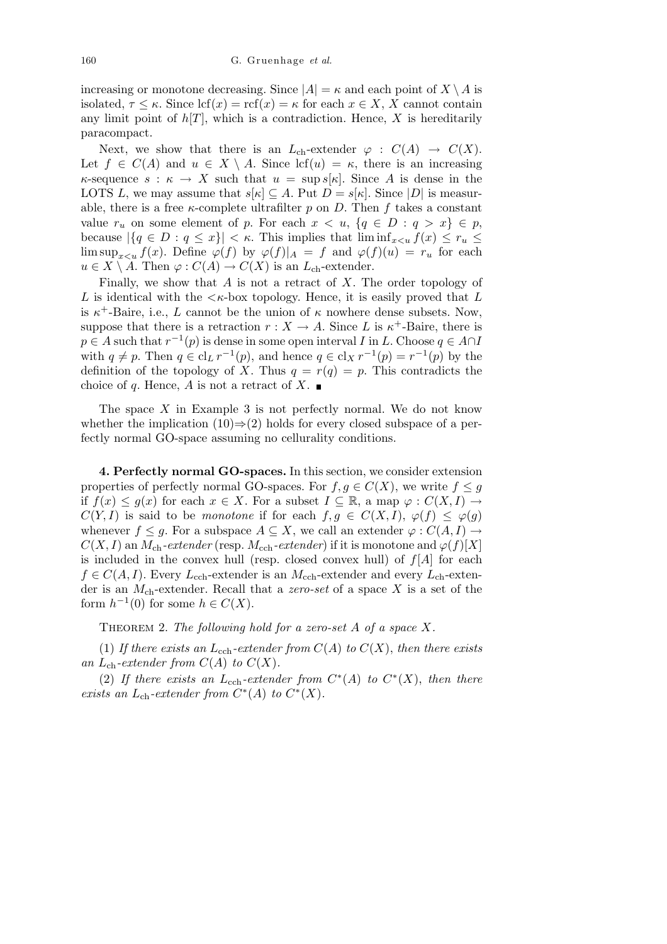increasing or monotone decreasing. Since  $|A| = \kappa$  and each point of  $X \setminus A$  is isolated,  $\tau \leq \kappa$ . Since  $\text{lcf}(x) = \text{rcf}(x) = \kappa$  for each  $x \in X$ , X cannot contain any limit point of  $h[T]$ , which is a contradiction. Hence, X is hereditarily paracompact.

Next, we show that there is an  $L_{ch}$ -extender  $\varphi : C(A) \to C(X)$ . Let  $f \in C(A)$  and  $u \in X \setminus A$ . Since lcf $(u) = \kappa$ , there is an increasing *κ*-sequence  $s : \kappa \to X$  such that  $u = \sup s[\kappa]$ . Since *A* is dense in the LOTS *L*, we may assume that  $s[\kappa] \subseteq A$ . Put  $D = s[\kappa]$ . Since  $|D|$  is measurable, there is a free  $\kappa$ -complete ultrafilter  $p$  on  $D$ . Then  $f$  takes a constant value  $r_u$  on some element of p. For each  $x < u$ ,  $\{q \in D : q > x\} \in p$ , because  $|\{q \in D : q \leq x\}| < \kappa$ . This implies that  $\liminf_{x \leq u} f(x) \leq r_u$ lim sup<sub>*x*<u</sub></sub>  $f(x)$ . Define  $\varphi(f)$  by  $\varphi(f)|_A = f$  and  $\varphi(f)(u) = r_u$  for each  $u \in X \setminus A$ . Then  $\varphi : C(A) \to C(X)$  is an  $L_{ch}$ -extender.

Finally, we show that *A* is not a retract of *X*. The order topology of *L* is identical with the  $\lt k$ -box topology. Hence, it is easily proved that *L* is  $\kappa^+$ -Baire, i.e., *L* cannot be the union of  $\kappa$  nowhere dense subsets. Now, suppose that there is a retraction  $r : X \to A$ . Since *L* is  $\kappa^+$ -Baire, there is  $p \in A$  such that  $r^{-1}(p)$  is dense in some open interval *I* in *L*. Choose  $q \in A \cap I$ with  $q \neq p$ . Then  $q \in \text{cl}_L r^{-1}(p)$ , and hence  $q \in \text{cl}_X r^{-1}(p) = r^{-1}(p)$  by the definition of the topology of *X*. Thus  $q = r(q) = p$ . This contradicts the choice of *q*. Hence, *A* is not a retract of *X*.

The space *X* in Example 3 is not perfectly normal. We do not know whether the implication (10)*⇒*(2) holds for every closed subspace of a perfectly normal GO-space assuming no cellurality conditions.

**4. Perfectly normal GO-spaces.** In this section, we consider extension properties of perfectly normal GO-spaces. For  $f, q \in C(X)$ , we write  $f \leq q$ if  $f(x) \leq g(x)$  for each  $x \in X$ . For a subset  $I \subseteq \mathbb{R}$ , a map  $\varphi : C(X, I) \to$ *C*(*Y, I*) is said to be *monotone* if for each  $f, g \in C(X, I), \varphi(f) \leq \varphi(g)$ whenever  $f \leq g$ . For a subspace  $A \subseteq X$ , we call an extender  $\varphi : C(A, I) \to$  $C(X, I)$  an  $M_{ch}$ -extender (resp.  $M_{ech}$ -extender) if it is monotone and  $\varphi(f)[X]$ is included in the convex hull (resp. closed convex hull) of  $f[A]$  for each  $f \in C(A, I)$ . Every  $L_{\text{coh}}$ -extender is an  $M_{\text{ech}}$ -extender and every  $L_{\text{ch}}$ -extender is an *M*ch-extender. Recall that a *zero-set* of a space *X* is a set of the form  $h^{-1}(0)$  for some  $h \in C(X)$ .

Theorem 2. *The following hold for a zero-set A of a space X.*

(1) If there exists an  $L_{\text{cch}}$ -extender from  $C(A)$  to  $C(X)$ , then there exists an  $L_{ch}$ -extender from  $C(A)$  to  $C(X)$ .

(2) If there exists an  $L_{\text{cch}}$ -extender from  $C^*(A)$  to  $C^*(X)$ , then there *exists an*  $L_{ch}$ *-extender from*  $C^*(A)$  *to*  $C^*(X)$ *.*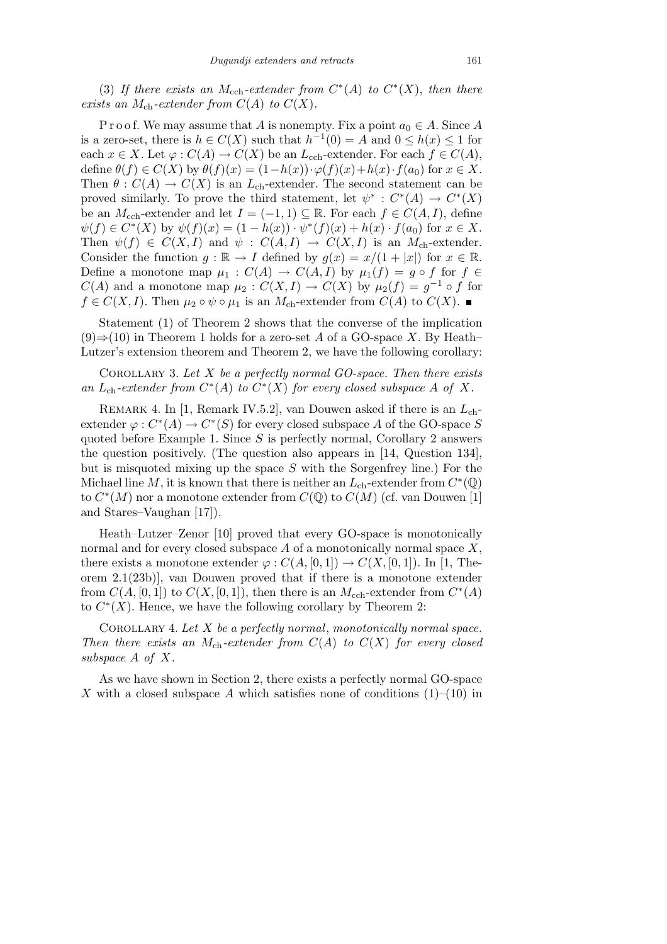(3) If there exists an  $M_{\text{cch}}$ -extender from  $C^*(A)$  to  $C^*(X)$ , then there *exists an*  $M_{\text{ch}}$ *-extender from*  $C(A)$  *to*  $C(X)$ *.* 

P r o o f. We may assume that *A* is nonempty. Fix a point  $a_0 \in A$ . Since *A* is a zero-set, there is  $h \in C(X)$  such that  $h^{-1}(0) = A$  and  $0 \leq h(x) \leq 1$  for each  $x \in X$ . Let  $\varphi : C(A) \to C(X)$  be an  $L_{\text{cch}}$ -extender. For each  $f \in C(A)$ , define  $\theta(f) \in C(X)$  by  $\theta(f)(x) = (1 - h(x)) \cdot \varphi(f)(x) + h(x) \cdot f(a_0)$  for  $x \in X$ . Then  $\theta$  :  $C(A) \rightarrow C(X)$  is an  $L_{ch}$ -extender. The second statement can be proved similarly. To prove the third statement, let  $\psi^*$ :  $C^*(A) \to C^*(X)$ be an *M*<sub>cch</sub>-extender and let  $I = (-1,1) \subseteq \mathbb{R}$ . For each  $f \in C(A, I)$ , define  $\psi(f) \in C^*(X)$  by  $\psi(f)(x) = (1 - h(x)) \cdot \psi^*(f)(x) + h(x) \cdot f(a_0)$  for  $x \in X$ . Then  $\psi(f) \in C(X, I)$  and  $\psi : C(A, I) \to C(X, I)$  is an *M*<sub>ch</sub>-extender. Consider the function  $g : \mathbb{R} \to I$  defined by  $g(x) = x/(1 + |x|)$  for  $x \in \mathbb{R}$ . Define a monotone map  $\mu_1$ :  $C(A) \rightarrow C(A, I)$  by  $\mu_1(f) = g \circ f$  for  $f \in$ *C*(*A*) and a monotone map  $\mu_2$ :  $C(X, I) \to C(X)$  by  $\mu_2(f) = g^{-1} \circ f$  for *f* ∈ *C*(*X, I*). Then  $\mu_2 \circ \psi \circ \mu_1$  is an *M*<sub>ch</sub>-extender from *C*(*A*) to *C*(*X*).

Statement (1) of Theorem 2 shows that the converse of the implication (9)*⇒*(10) in Theorem 1 holds for a zero-set *A* of a GO-space *X*. By Heath– Lutzer's extension theorem and Theorem 2, we have the following corollary:

Corollary 3. *Let X be a perfectly normal GO-space. Then there exists* an  $L_{ch}$ -extender from  $C^*(A)$  to  $C^*(X)$  for every closed subspace A of X.

Remark 4. In [1, Remark IV.5.2], van Douwen asked if there is an *L*chextender  $\varphi: C^*(A) \to C^*(S)$  for every closed subspace A of the GO-space S quoted before Example 1. Since *S* is perfectly normal, Corollary 2 answers the question positively. (The question also appears in [14, Question 134], but is misquoted mixing up the space *S* with the Sorgenfrey line.) For the Michael line  $M$ , it is known that there is neither an  $L_{ch}$ -extender from  $C^*(\mathbb{Q})$ to  $C^*(M)$  nor a monotone extender from  $C(\mathbb{Q})$  to  $C(M)$  (cf. van Douwen [1] and Stares–Vaughan [17]).

Heath–Lutzer–Zenor [10] proved that every GO-space is monotonically normal and for every closed subspace *A* of a monotonically normal space *X*, there exists a monotone extender  $\varphi$  :  $C(A, [0, 1]) \to C(X, [0, 1])$ . In [1, Theorem 2.1(23b)], van Douwen proved that if there is a monotone extender from  $C(A, [0, 1])$  to  $C(X, [0, 1])$ , then there is an  $M_{\text{cch}}$ -extender from  $C^*(A)$ to  $C^*(X)$ . Hence, we have the following corollary by Theorem 2:

Corollary 4. *Let X be a perfectly normal*, *monotonically normal space. Then there exists an*  $M_{ch}$ -extender from  $C(A)$  to  $C(X)$  for every closed *subspace A of X.*

As we have shown in Section 2, there exists a perfectly normal GO-space *X* with a closed subspace *A* which satisfies none of conditions  $(1)$ – $(10)$  in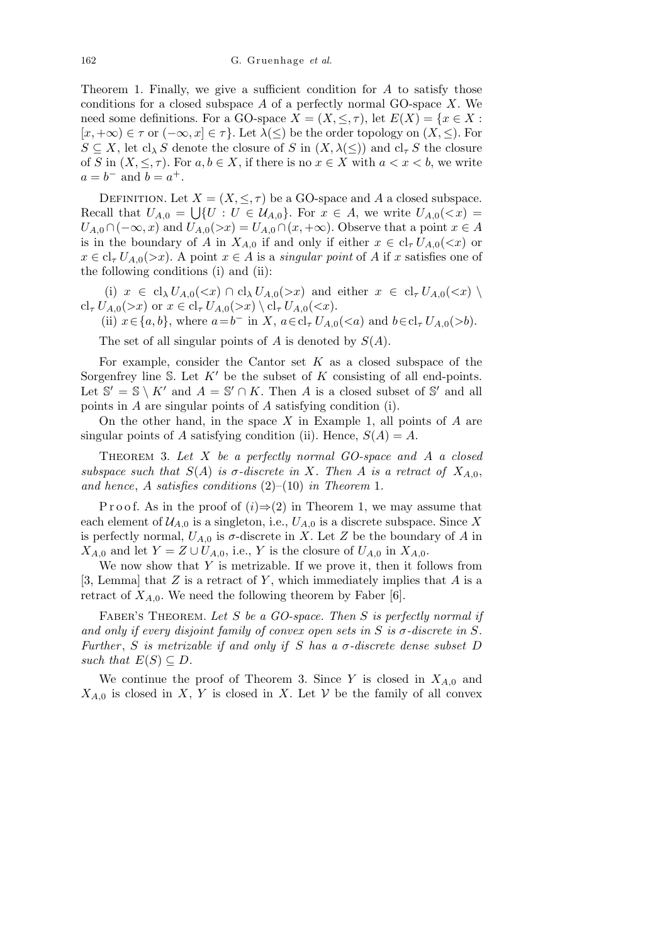Theorem 1. Finally, we give a sufficient condition for *A* to satisfy those conditions for a closed subspace *A* of a perfectly normal GO-space *X*. We need some definitions. For a GO-space  $X = (X, \leq, \tau)$ , let  $E(X) = \{x \in X :$  $[x, +\infty) \in \tau$  or  $(-\infty, x] \in \tau$ . Let  $\lambda(\le)$  be the order topology on  $(X, \le)$ . For  $S \subseteq X$ , let  $cl_{\lambda} S$  denote the closure of *S* in  $(X, \lambda(\leq))$  and  $cl_{\tau} S$  the closure of *S* in  $(X, \leq, \tau)$ . For  $a, b \in X$ , if there is no  $x \in X$  with  $a < x < b$ , we write  $a = b^{-}$  and  $b = a^{+}$ .

DEFINITION. Let  $X = (X, \leq, \tau)$  be a GO-space and *A* a closed subspace. Recall that  $U_{A,0} = \bigcup \{ U : U \in \mathcal{U}_{A,0} \}$ . For  $x \in A$ , we write  $U_{A,0}(*x*) =$  $U_{A,0} \cap (-\infty, x)$  and  $U_{A,0}(\geq x) = U_{A,0} \cap (x, +\infty)$ . Observe that a point  $x \in A$ is in the boundary of *A* in  $X_{A,0}$  if and only if either  $x \in cl_{\tau} U_{A,0}(\langle x \rangle)$  or  $x \in cl_{\tau} U_{A,0}(\gt x)$ . A point  $x \in A$  is a *singular point* of *A* if *x* satisfies one of the following conditions (i) and (ii):

(i)  $x \in cl_{\lambda} U_{A,0}(\ll x) \cap cl_{\lambda} U_{A,0}(\ll x)$  and either  $x \in cl_{\tau} U_{A,0}(\ll x) \setminus$  $cl_{\tau} U_{A,0}(\gt x)$  or  $x \in cl_{\tau} U_{A,0}(\gt x) \setminus cl_{\tau} U_{A,0}(\lt x)$ .

(ii)  $x \in \{a, b\}$ , where  $a = b^-$  in *X*,  $a \in \text{cl}_{\tau} U_{A,0}(\leq a)$  and  $b \in \text{cl}_{\tau} U_{A,0}(\geq b)$ .

The set of all singular points of *A* is denoted by *S*(*A*).

For example, consider the Cantor set *K* as a closed subspace of the Sorgenfrey line S. Let  $K'$  be the subset of  $K$  consisting of all end-points. Let  $\mathbb{S}' = \mathbb{S} \setminus K'$  and  $A = \mathbb{S}' \cap K$ . Then *A* is a closed subset of  $\mathbb{S}'$  and all points in *A* are singular points of *A* satisfying condition (i).

On the other hand, in the space *X* in Example 1, all points of *A* are singular points of *A* satisfying condition (ii). Hence,  $S(A) = A$ .

Theorem 3. *Let X be a perfectly normal GO-space and A a closed subspace such that*  $S(A)$  *is*  $\sigma$ -discrete in X. Then A is a retract of  $X_{A,0}$ , *and hence*, *A satisfies conditions* (2)–(10) *in Theorem* 1*.*

P r o o f. As in the proof of  $(i) \Rightarrow (2)$  in Theorem 1, we may assume that each element of  $\mathcal{U}_{A,0}$  is a singleton, i.e.,  $U_{A,0}$  is a discrete subspace. Since X is perfectly normal,  $U_{A,0}$  is  $\sigma$ -discrete in *X*. Let *Z* be the boundary of *A* in *X*<sup>*A*</sup>*A*<sup>0</sup> and let *Y* = *Z ∪ U<sub><i>A*</sub><sup>0</sup>, i.e., *Y* is the closure of *U<sub><i>A*</sub><sup>0</sup> in *X<sub><i>A*</sub><sup>0</sup>.

We now show that *Y* is metrizable. If we prove it, then it follows from [3, Lemma] that *Z* is a retract of *Y* , which immediately implies that *A* is a retract of  $X_{A,0}$ . We need the following theorem by Faber [6].

Faber's Theorem. *Let S be a GO-space. Then S is perfectly normal if and only if every disjoint family of convex open sets in*  $S$  *is*  $\sigma$ -discrete in  $S$ . *Further*, *S is metrizable if and only if S has a*  $\sigma$ -discrete dense subset D *such that*  $E(S) \subseteq D$ *.* 

We continue the proof of Theorem 3. Since *Y* is closed in *XA,*<sup>0</sup> and  $X_{A,0}$  is closed in *X*, *Y* is closed in *X*. Let *V* be the family of all convex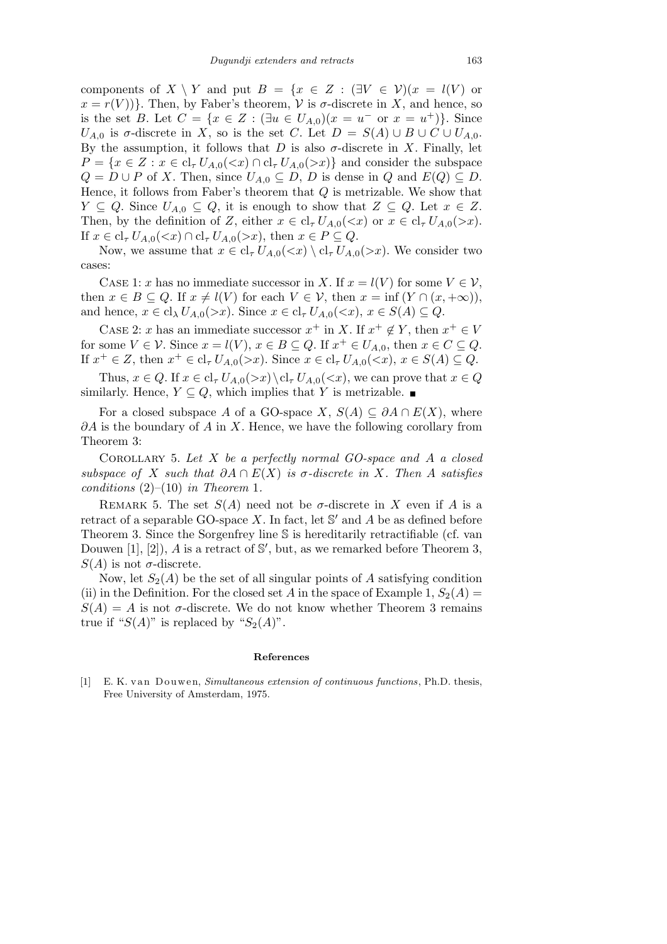components of  $X \setminus Y$  and put  $B = \{x \in Z : (\exists V \in \mathcal{V})(x = l(V))\}$  or  $x = r(V)$ }. Then, by Faber's theorem, *V* is *σ*-discrete in *X*, and hence, so is the set *B*. Let  $C = \{x \in Z : (\exists u \in U_{A,0})(x = u^{-} \text{ or } x = u^{+})\}.$  Since *U*<sub>*A*,0</sub> is  $\sigma$ -discrete in *X*, so is the set *C*. Let  $D = S(A) \cup B \cup C \cup U_{A,0}$ . By the assumption, it follows that  $D$  is also  $\sigma$ -discrete in  $X$ . Finally, let  $P = \{x \in Z : x \in \text{cl}_{\tau} U_{A,0}(\leq x) \cap \text{cl}_{\tau} U_{A,0}(\geq x)\}\$ and consider the subspace  $Q = D \cup P$  of *X*. Then, since  $U_{A,0} \subseteq D, D$  is dense in  $Q$  and  $E(Q) \subseteq D$ . Hence, it follows from Faber's theorem that *Q* is metrizable. We show that *Y* ⊆ *Q*. Since  $U_{A,0}$  ⊆ *Q*, it is enough to show that  $Z$  ⊆ *Q*. Let  $x \in Z$ . Then, by the definition of *Z*, either  $x \in cl_{\tau} U_{A,0}(\langle x \rangle)$  or  $x \in cl_{\tau} U_{A,0}(\langle x \rangle)$ . If  $x \in cl_{\tau} U_{A,0}(\ll x) \cap cl_{\tau} U_{A,0}(\ll x)$ , then  $x \in P \subseteq Q$ .

Now, we assume that  $x \in cl_{\tau} U_{A,0}(\langle x \rangle \setminus cl_{\tau} U_{A,0}(\langle x \rangle \rangle \mathcal{E})$ . We consider two cases:

CASE 1: *x* has no immediate successor in *X*. If  $x = l(V)$  for some  $V \in V$ , then  $x \in B \subseteq Q$ . If  $x \neq l(V)$  for each  $V \in V$ , then  $x = \inf (Y \cap (x, +\infty))$ , and hence,  $x \in cl_{\lambda} U_{A,0}(\geq x)$ . Since  $x \in cl_{\tau} U_{A,0}(\leq x)$ ,  $x \in S(A) \subseteq Q$ .

CASE 2: *x* has an immediate successor  $x^+$  in *X*. If  $x^+ \notin Y$ , then  $x^+ \in V$ for some  $V \in \mathcal{V}$ . Since  $x = l(V)$ ,  $x \in B \subseteq Q$ . If  $x^+ \in U_{A,0}$ , then  $x \in C \subseteq Q$ . If  $x^+ \in Z$ , then  $x^+ \in cl_\tau U_{A,0}(>x)$ . Since  $x \in cl_\tau U_{A,0}(,  $x \in S(A) \subseteq Q$ .$ 

Thus,  $x \in Q$ . If  $x \in cl_{\tau} U_{A,0}(\gt x) \setminus cl_{\tau} U_{A,0}(\lt x)$ , we can prove that  $x \in Q$ similarly. Hence, *Y* ⊆ *Q*, which implies that *Y* is metrizable. ■

For a closed subspace *A* of a GO-space *X*,  $S(A) \subseteq \partial A \cap E(X)$ , where *∂A* is the boundary of *A* in *X*. Hence, we have the following corollary from Theorem 3:

Corollary 5. *Let X be a perfectly normal GO-space and A a closed subspace of X such that ∂A ∩ E*(*X*) *is σ-discrete in X. Then A satisfies conditions* (2)–(10) *in Theorem* 1*.*

REMARK 5. The set  $S(A)$  need not be  $\sigma$ -discrete in X even if A is a retract of a separable GO-space  $X$ . In fact, let  $\mathbb{S}'$  and  $A$  be as defined before Theorem 3. Since the Sorgenfrey line S is hereditarily retractifiable (cf. van Douwen  $[1], [2]$ , *A* is a retract of S', but, as we remarked before Theorem 3, *S*(*A*) is not  $\sigma$ -discrete.

Now, let  $S_2(A)$  be the set of all singular points of A satisfying condition (ii) in the Definition. For the closed set *A* in the space of Example 1,  $S_2(A)$  =  $S(A) = A$  is not *σ*-discrete. We do not know whether Theorem 3 remains true if " $S(A)$ " is replaced by " $S_2(A)$ ".

## **References**

[1] E. K. van Douwen, *Simultaneous extension of continuous functions*, Ph.D. thesis, Free University of Amsterdam, 1975.